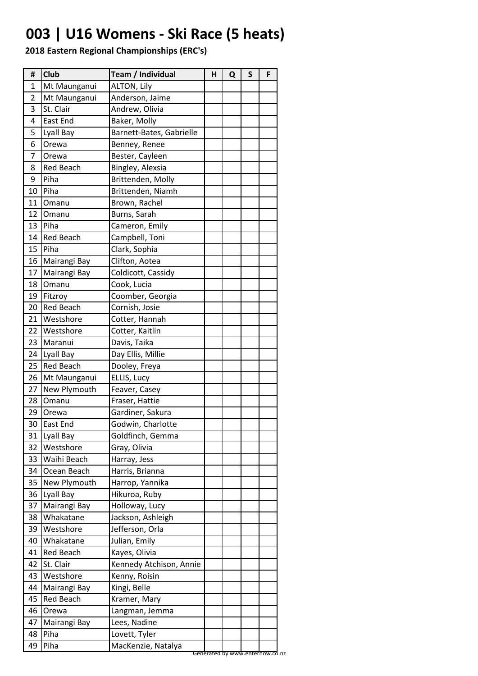### **003 | U16 Womens - Ski Race (5 heats)**

| #  | Club             | Team / Individual        | Н | Q | S | F |
|----|------------------|--------------------------|---|---|---|---|
| 1  | Mt Maunganui     | <b>ALTON, Lily</b>       |   |   |   |   |
| 2  | Mt Maunganui     | Anderson, Jaime          |   |   |   |   |
| 3  | St. Clair        | Andrew, Olivia           |   |   |   |   |
| 4  | East End         | Baker, Molly             |   |   |   |   |
| 5  | Lyall Bay        | Barnett-Bates, Gabrielle |   |   |   |   |
| 6  | Orewa            | Benney, Renee            |   |   |   |   |
| 7  | Orewa            | Bester, Cayleen          |   |   |   |   |
| 8  | <b>Red Beach</b> | Bingley, Alexsia         |   |   |   |   |
| 9  | Piha             | Brittenden, Molly        |   |   |   |   |
| 10 | Piha             | Brittenden, Niamh        |   |   |   |   |
| 11 | Omanu            | Brown, Rachel            |   |   |   |   |
| 12 | Omanu            | Burns, Sarah             |   |   |   |   |
| 13 | Piha             | Cameron, Emily           |   |   |   |   |
| 14 | <b>Red Beach</b> | Campbell, Toni           |   |   |   |   |
| 15 | Piha             | Clark, Sophia            |   |   |   |   |
|    | 16 Mairangi Bay  | Clifton, Aotea           |   |   |   |   |
| 17 | Mairangi Bay     | Coldicott, Cassidy       |   |   |   |   |
| 18 | Omanu            | Cook, Lucia              |   |   |   |   |
| 19 | Fitzroy          | Coomber, Georgia         |   |   |   |   |
| 20 | <b>Red Beach</b> | Cornish, Josie           |   |   |   |   |
| 21 | Westshore        | Cotter, Hannah           |   |   |   |   |
| 22 | Westshore        | Cotter, Kaitlin          |   |   |   |   |
| 23 | Maranui          | Davis, Taika             |   |   |   |   |
| 24 | Lyall Bay        | Day Ellis, Millie        |   |   |   |   |
| 25 | <b>Red Beach</b> | Dooley, Freya            |   |   |   |   |
| 26 | Mt Maunganui     | ELLIS, Lucy              |   |   |   |   |
| 27 | New Plymouth     | Feaver, Casey            |   |   |   |   |
| 28 | Omanu            | Fraser, Hattie           |   |   |   |   |
| 29 | Orewa            | Gardiner, Sakura         |   |   |   |   |
| 30 | <b>East End</b>  | Godwin, Charlotte        |   |   |   |   |
| 31 | Lyall Bay        | Goldfinch, Gemma         |   |   |   |   |
| 32 | Westshore        | Gray, Olivia             |   |   |   |   |
| 33 | Waihi Beach      | Harray, Jess             |   |   |   |   |
| 34 | Ocean Beach      | Harris, Brianna          |   |   |   |   |
| 35 | New Plymouth     | Harrop, Yannika          |   |   |   |   |
| 36 | Lyall Bay        | Hikuroa, Ruby            |   |   |   |   |
| 37 | Mairangi Bay     | Holloway, Lucy           |   |   |   |   |
| 38 | Whakatane        | Jackson, Ashleigh        |   |   |   |   |
| 39 | Westshore        | Jefferson, Orla          |   |   |   |   |
| 40 | Whakatane        | Julian, Emily            |   |   |   |   |
| 41 | Red Beach        | Kayes, Olivia            |   |   |   |   |
| 42 | St. Clair        | Kennedy Atchison, Annie  |   |   |   |   |
| 43 | Westshore        | Kenny, Roisin            |   |   |   |   |
| 44 | Mairangi Bay     | Kingi, Belle             |   |   |   |   |
| 45 | <b>Red Beach</b> | Kramer, Mary             |   |   |   |   |
| 46 | Orewa            | Langman, Jemma           |   |   |   |   |
| 47 | Mairangi Bay     | Lees, Nadine             |   |   |   |   |
| 48 | Piha             | Lovett, Tyler            |   |   |   |   |
|    |                  |                          |   |   |   |   |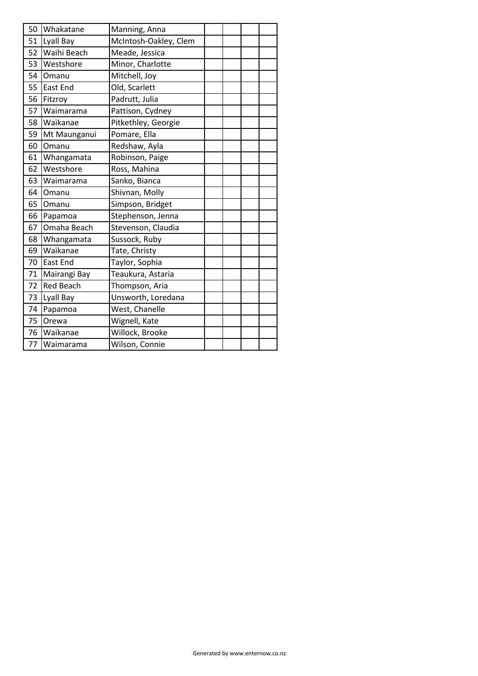| 50 | Whakatane        | Manning, Anna         |  |  |
|----|------------------|-----------------------|--|--|
| 51 | Lyall Bay        | McIntosh-Oakley, Clem |  |  |
| 52 | Waihi Beach      | Meade, Jessica        |  |  |
| 53 | Westshore        | Minor, Charlotte      |  |  |
| 54 | Omanu            | Mitchell, Joy         |  |  |
| 55 | East End         | Old, Scarlett         |  |  |
| 56 | Fitzroy          | Padrutt, Julia        |  |  |
| 57 | Waimarama        | Pattison, Cydney      |  |  |
| 58 | Waikanae         | Pitkethley, Georgie   |  |  |
| 59 | Mt Maunganui     | Pomare, Ella          |  |  |
| 60 | Omanu            | Redshaw, Ayla         |  |  |
| 61 | Whangamata       | Robinson, Paige       |  |  |
| 62 | Westshore        | Ross, Mahina          |  |  |
| 63 | Waimarama        | Sanko, Bianca         |  |  |
| 64 | Omanu            | Shivnan, Molly        |  |  |
| 65 | Omanu            | Simpson, Bridget      |  |  |
| 66 | Papamoa          | Stephenson, Jenna     |  |  |
| 67 | Omaha Beach      | Stevenson, Claudia    |  |  |
| 68 | Whangamata       | Sussock, Ruby         |  |  |
| 69 | Waikanae         | Tate, Christy         |  |  |
| 70 | East End         | Taylor, Sophia        |  |  |
| 71 | Mairangi Bay     | Teaukura, Astaria     |  |  |
| 72 | <b>Red Beach</b> | Thompson, Aria        |  |  |
| 73 | Lyall Bay        | Unsworth, Loredana    |  |  |
| 74 | Papamoa          | West, Chanelle        |  |  |
| 75 | Orewa            | Wignell, Kate         |  |  |
| 76 | Waikanae         | Willock, Brooke       |  |  |
|    | 77 Waimarama     | Wilson, Connie        |  |  |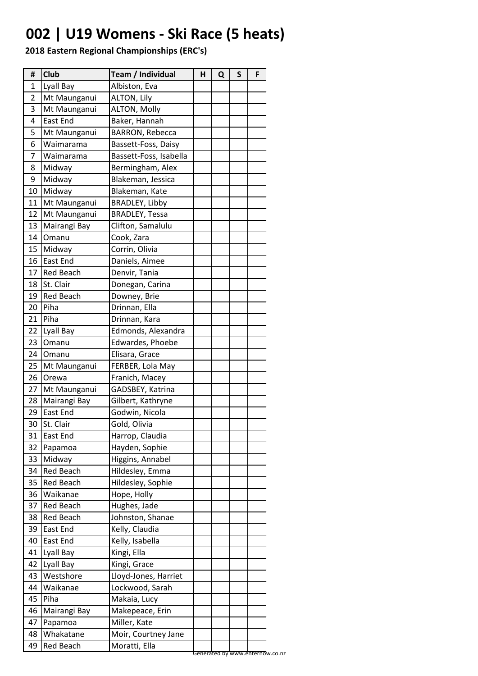### **002 | U19 Womens - Ski Race (5 heats)**

| #  | <b>Club</b>      | Team / Individual      | н | Q | S | F |  |
|----|------------------|------------------------|---|---|---|---|--|
| 1  | Lyall Bay        | Albiston, Eva          |   |   |   |   |  |
| 2  | Mt Maunganui     | <b>ALTON, Lily</b>     |   |   |   |   |  |
| 3  | Mt Maunganui     | <b>ALTON, Molly</b>    |   |   |   |   |  |
| 4  | East End         | Baker, Hannah          |   |   |   |   |  |
| 5  | Mt Maunganui     | BARRON, Rebecca        |   |   |   |   |  |
| 6  | Waimarama        | Bassett-Foss, Daisy    |   |   |   |   |  |
| 7  | Waimarama        | Bassett-Foss, Isabella |   |   |   |   |  |
| 8  | Midway           | Bermingham, Alex       |   |   |   |   |  |
| 9  | Midway           | Blakeman, Jessica      |   |   |   |   |  |
| 10 | Midway           | Blakeman, Kate         |   |   |   |   |  |
| 11 | Mt Maunganui     | <b>BRADLEY, Libby</b>  |   |   |   |   |  |
| 12 | Mt Maunganui     | <b>BRADLEY, Tessa</b>  |   |   |   |   |  |
| 13 | Mairangi Bay     | Clifton, Samalulu      |   |   |   |   |  |
| 14 | Omanu            | Cook, Zara             |   |   |   |   |  |
| 15 | Midway           | Corrin, Olivia         |   |   |   |   |  |
| 16 | East End         | Daniels, Aimee         |   |   |   |   |  |
| 17 | <b>Red Beach</b> | Denvir, Tania          |   |   |   |   |  |
| 18 | St. Clair        | Donegan, Carina        |   |   |   |   |  |
| 19 | <b>Red Beach</b> | Downey, Brie           |   |   |   |   |  |
| 20 | Piha             | Drinnan, Ella          |   |   |   |   |  |
| 21 | Piha             | Drinnan, Kara          |   |   |   |   |  |
| 22 | Lyall Bay        | Edmonds, Alexandra     |   |   |   |   |  |
| 23 | Omanu            | Edwardes, Phoebe       |   |   |   |   |  |
| 24 | Omanu            | Elisara, Grace         |   |   |   |   |  |
| 25 | Mt Maunganui     | FERBER, Lola May       |   |   |   |   |  |
| 26 | Orewa            | Franich, Macey         |   |   |   |   |  |
| 27 | Mt Maunganui     | GADSBEY, Katrina       |   |   |   |   |  |
| 28 | Mairangi Bay     | Gilbert, Kathryne      |   |   |   |   |  |
| 29 | East End         | Godwin, Nicola         |   |   |   |   |  |
| 30 | St. Clair        | Gold, Olivia           |   |   |   |   |  |
| 31 | East End         | Harrop, Claudia        |   |   |   |   |  |
| 32 | Papamoa          | Hayden, Sophie         |   |   |   |   |  |
| 33 | Midway           | Higgins, Annabel       |   |   |   |   |  |
| 34 | <b>Red Beach</b> | Hildesley, Emma        |   |   |   |   |  |
| 35 | Red Beach        | Hildesley, Sophie      |   |   |   |   |  |
| 36 | Waikanae         | Hope, Holly            |   |   |   |   |  |
| 37 | <b>Red Beach</b> | Hughes, Jade           |   |   |   |   |  |
| 38 | Red Beach        | Johnston, Shanae       |   |   |   |   |  |
| 39 | East End         | Kelly, Claudia         |   |   |   |   |  |
| 40 | East End         | Kelly, Isabella        |   |   |   |   |  |
| 41 | Lyall Bay        | Kingi, Ella            |   |   |   |   |  |
| 42 | Lyall Bay        | Kingi, Grace           |   |   |   |   |  |
| 43 | Westshore        | Lloyd-Jones, Harriet   |   |   |   |   |  |
| 44 | Waikanae         | Lockwood, Sarah        |   |   |   |   |  |
| 45 | Piha             | Makaia, Lucy           |   |   |   |   |  |
| 46 | Mairangi Bay     | Makepeace, Erin        |   |   |   |   |  |
| 47 | Papamoa          | Miller, Kate           |   |   |   |   |  |
| 48 | Whakatane        | Moir, Courtney Jane    |   |   |   |   |  |
| 49 | <b>Red Beach</b> | Moratti, Ella          |   |   |   |   |  |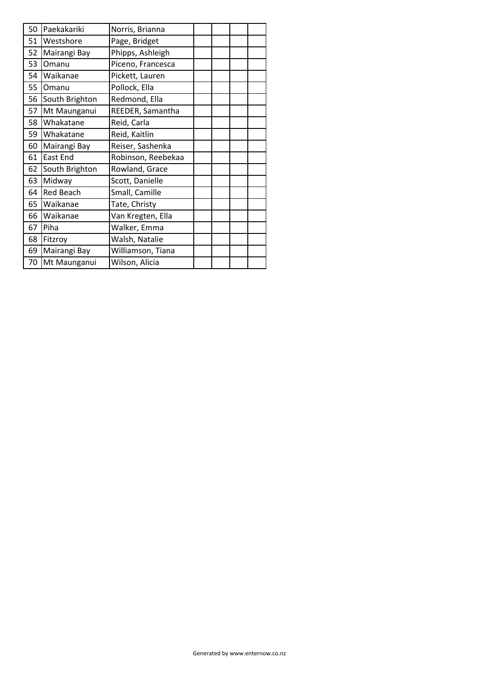| 50 | Paekakariki      | Norris, Brianna    |  |  |
|----|------------------|--------------------|--|--|
| 51 | Westshore        | Page, Bridget      |  |  |
| 52 | Mairangi Bay     | Phipps, Ashleigh   |  |  |
| 53 | Omanu            | Piceno, Francesca  |  |  |
| 54 | Waikanae         | Pickett, Lauren    |  |  |
| 55 | Omanu            | Pollock, Ella      |  |  |
| 56 | South Brighton   | Redmond, Ella      |  |  |
| 57 | Mt Maunganui     | REEDER, Samantha   |  |  |
| 58 | Whakatane        | Reid, Carla        |  |  |
| 59 | Whakatane        | Reid, Kaitlin      |  |  |
| 60 | Mairangi Bay     | Reiser, Sashenka   |  |  |
| 61 | East End         | Robinson, Reebekaa |  |  |
| 62 | South Brighton   | Rowland, Grace     |  |  |
| 63 | Midway           | Scott, Danielle    |  |  |
| 64 | <b>Red Beach</b> | Small, Camille     |  |  |
| 65 | Waikanae         | Tate, Christy      |  |  |
| 66 | Waikanae         | Van Kregten, Ella  |  |  |
| 67 | Piha             | Walker, Emma       |  |  |
| 68 | Fitzroy          | Walsh, Natalie     |  |  |
| 69 | Mairangi Bay     | Williamson, Tiana  |  |  |
| 70 | Mt Maunganui     | Wilson, Alicia     |  |  |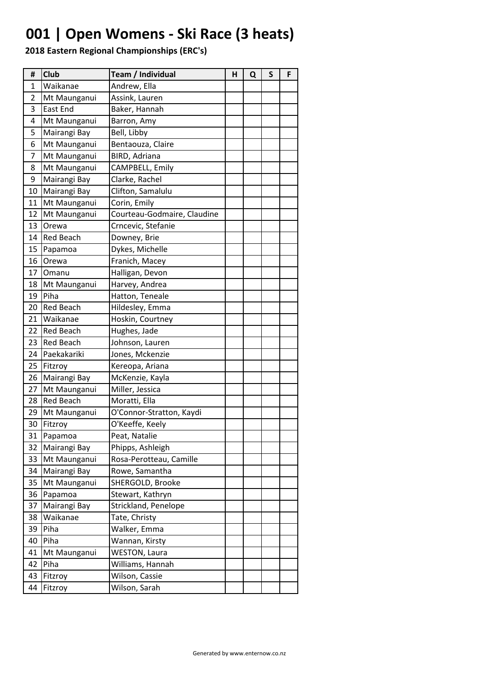## **001 | Open Womens - Ski Race (3 heats)**

| #  | <b>Club</b>      | Team / Individual           | н | Q | S | F |
|----|------------------|-----------------------------|---|---|---|---|
| 1  | Waikanae         | Andrew, Ella                |   |   |   |   |
| 2  | Mt Maunganui     | Assink, Lauren              |   |   |   |   |
| 3  | East End         | Baker, Hannah               |   |   |   |   |
| 4  | Mt Maunganui     | Barron, Amy                 |   |   |   |   |
| 5  | Mairangi Bay     | Bell, Libby                 |   |   |   |   |
| 6  | Mt Maunganui     | Bentaouza, Claire           |   |   |   |   |
| 7  | Mt Maunganui     | BIRD, Adriana               |   |   |   |   |
| 8  | Mt Maunganui     | CAMPBELL, Emily             |   |   |   |   |
| 9  | Mairangi Bay     | Clarke, Rachel              |   |   |   |   |
| 10 | Mairangi Bay     | Clifton, Samalulu           |   |   |   |   |
| 11 | Mt Maunganui     | Corin, Emily                |   |   |   |   |
| 12 | Mt Maunganui     | Courteau-Godmaire, Claudine |   |   |   |   |
| 13 | Orewa            | Crncevic, Stefanie          |   |   |   |   |
| 14 | <b>Red Beach</b> | Downey, Brie                |   |   |   |   |
| 15 | Papamoa          | Dykes, Michelle             |   |   |   |   |
| 16 | Orewa            | Franich, Macey              |   |   |   |   |
| 17 | Omanu            | Halligan, Devon             |   |   |   |   |
| 18 | Mt Maunganui     | Harvey, Andrea              |   |   |   |   |
| 19 | Piha             | Hatton, Teneale             |   |   |   |   |
| 20 | <b>Red Beach</b> | Hildesley, Emma             |   |   |   |   |
| 21 | Waikanae         | Hoskin, Courtney            |   |   |   |   |
| 22 | <b>Red Beach</b> | Hughes, Jade                |   |   |   |   |
| 23 | <b>Red Beach</b> | Johnson, Lauren             |   |   |   |   |
| 24 | Paekakariki      | Jones, Mckenzie             |   |   |   |   |
| 25 | Fitzroy          | Kereopa, Ariana             |   |   |   |   |
| 26 | Mairangi Bay     | McKenzie, Kayla             |   |   |   |   |
| 27 | Mt Maunganui     | Miller, Jessica             |   |   |   |   |
| 28 | <b>Red Beach</b> | Moratti, Ella               |   |   |   |   |
| 29 | Mt Maunganui     | O'Connor-Stratton, Kaydi    |   |   |   |   |
| 30 | Fitzroy          | O'Keeffe, Keely             |   |   |   |   |
| 31 | Papamoa          | Peat, Natalie               |   |   |   |   |
| 32 | Mairangi Bay     | Phipps, Ashleigh            |   |   |   |   |
| 33 | Mt Maunganui     | Rosa-Perotteau, Camille     |   |   |   |   |
| 34 | Mairangi Bay     | Rowe, Samantha              |   |   |   |   |
| 35 | Mt Maunganui     | SHERGOLD, Brooke            |   |   |   |   |
| 36 | Papamoa          | Stewart, Kathryn            |   |   |   |   |
| 37 | Mairangi Bay     | Strickland, Penelope        |   |   |   |   |
| 38 | Waikanae         | Tate, Christy               |   |   |   |   |
| 39 | Piha             | Walker, Emma                |   |   |   |   |
| 40 | Piha             | Wannan, Kirsty              |   |   |   |   |
| 41 | Mt Maunganui     | <b>WESTON, Laura</b>        |   |   |   |   |
| 42 | Piha             | Williams, Hannah            |   |   |   |   |
| 43 | Fitzroy          | Wilson, Cassie              |   |   |   |   |
| 44 | Fitzroy          | Wilson, Sarah               |   |   |   |   |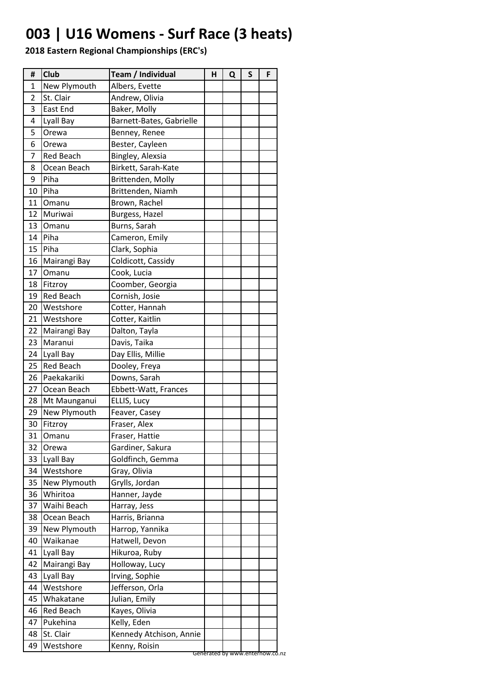## **003 | U16 Womens - Surf Race (3 heats)**

| #  | Club             | Team / Individual        | Н | Q | S | F |
|----|------------------|--------------------------|---|---|---|---|
| 1  | New Plymouth     | Albers, Evette           |   |   |   |   |
| 2  | St. Clair        | Andrew, Olivia           |   |   |   |   |
| 3  | East End         | Baker, Molly             |   |   |   |   |
| 4  | Lyall Bay        | Barnett-Bates, Gabrielle |   |   |   |   |
| 5  | Orewa            | Benney, Renee            |   |   |   |   |
| 6  | Orewa            | Bester, Cayleen          |   |   |   |   |
| 7  | <b>Red Beach</b> | Bingley, Alexsia         |   |   |   |   |
| 8  | Ocean Beach      | Birkett, Sarah-Kate      |   |   |   |   |
| 9  | Piha             | Brittenden, Molly        |   |   |   |   |
| 10 | Piha             | Brittenden, Niamh        |   |   |   |   |
| 11 | Omanu            | Brown, Rachel            |   |   |   |   |
| 12 | Muriwai          | Burgess, Hazel           |   |   |   |   |
| 13 | Omanu            | Burns, Sarah             |   |   |   |   |
| 14 | Piha             | Cameron, Emily           |   |   |   |   |
| 15 | Piha             | Clark, Sophia            |   |   |   |   |
| 16 | Mairangi Bay     | Coldicott, Cassidy       |   |   |   |   |
| 17 | Omanu            | Cook, Lucia              |   |   |   |   |
| 18 | Fitzroy          | Coomber, Georgia         |   |   |   |   |
| 19 | <b>Red Beach</b> | Cornish, Josie           |   |   |   |   |
| 20 | Westshore        | Cotter, Hannah           |   |   |   |   |
| 21 | Westshore        | Cotter, Kaitlin          |   |   |   |   |
| 22 | Mairangi Bay     | Dalton, Tayla            |   |   |   |   |
| 23 | Maranui          | Davis, Taika             |   |   |   |   |
| 24 | Lyall Bay        | Day Ellis, Millie        |   |   |   |   |
| 25 | <b>Red Beach</b> | Dooley, Freya            |   |   |   |   |
| 26 | Paekakariki      | Downs, Sarah             |   |   |   |   |
| 27 | Ocean Beach      | Ebbett-Watt, Frances     |   |   |   |   |
| 28 | Mt Maunganui     | ELLIS, Lucy              |   |   |   |   |
| 29 | New Plymouth     | Feaver, Casey            |   |   |   |   |
| 30 | Fitzroy          | Fraser, Alex             |   |   |   |   |
| 31 | Omanu            | Fraser, Hattie           |   |   |   |   |
| 32 | Orewa            | Gardiner, Sakura         |   |   |   |   |
| 33 | Lyall Bay        | Goldfinch, Gemma         |   |   |   |   |
| 34 | Westshore        | Gray, Olivia             |   |   |   |   |
| 35 | New Plymouth     | Grylls, Jordan           |   |   |   |   |
| 36 | Whiritoa         | Hanner, Jayde            |   |   |   |   |
| 37 | Waihi Beach      | Harray, Jess             |   |   |   |   |
| 38 | Ocean Beach      | Harris, Brianna          |   |   |   |   |
| 39 | New Plymouth     | Harrop, Yannika          |   |   |   |   |
| 40 | Waikanae         | Hatwell, Devon           |   |   |   |   |
| 41 | Lyall Bay        | Hikuroa, Ruby            |   |   |   |   |
| 42 | Mairangi Bay     | Holloway, Lucy           |   |   |   |   |
| 43 | Lyall Bay        | Irving, Sophie           |   |   |   |   |
| 44 | Westshore        | Jefferson, Orla          |   |   |   |   |
| 45 | Whakatane        | Julian, Emily            |   |   |   |   |
| 46 | <b>Red Beach</b> | Kayes, Olivia            |   |   |   |   |
| 47 | Pukehina         | Kelly, Eden              |   |   |   |   |
| 48 | St. Clair        | Kennedy Atchison, Annie  |   |   |   |   |
| 49 | Westshore        | Kenny, Roisin            |   |   |   |   |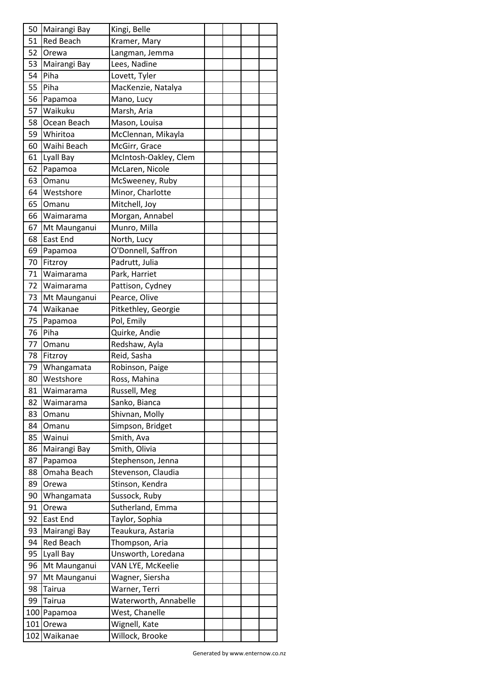| 50 | Mairangi Bay     | Kingi, Belle          |  |  |
|----|------------------|-----------------------|--|--|
| 51 | <b>Red Beach</b> | Kramer, Mary          |  |  |
| 52 | Orewa            | Langman, Jemma        |  |  |
| 53 | Mairangi Bay     | Lees, Nadine          |  |  |
| 54 | Piha             | Lovett, Tyler         |  |  |
| 55 | Piha             | MacKenzie, Natalya    |  |  |
| 56 | Papamoa          | Mano, Lucy            |  |  |
| 57 | Waikuku          | Marsh, Aria           |  |  |
| 58 | Ocean Beach      | Mason, Louisa         |  |  |
| 59 | Whiritoa         | McClennan, Mikayla    |  |  |
| 60 | Waihi Beach      | McGirr, Grace         |  |  |
| 61 | Lyall Bay        | McIntosh-Oakley, Clem |  |  |
| 62 | Papamoa          | McLaren, Nicole       |  |  |
| 63 | Omanu            | McSweeney, Ruby       |  |  |
| 64 | Westshore        | Minor, Charlotte      |  |  |
| 65 | Omanu            | Mitchell, Joy         |  |  |
| 66 | Waimarama        | Morgan, Annabel       |  |  |
| 67 | Mt Maunganui     | Munro, Milla          |  |  |
| 68 | <b>East End</b>  | North, Lucy           |  |  |
| 69 | Papamoa          | O'Donnell, Saffron    |  |  |
| 70 | Fitzroy          | Padrutt, Julia        |  |  |
| 71 | Waimarama        | Park, Harriet         |  |  |
| 72 | Waimarama        | Pattison, Cydney      |  |  |
| 73 | Mt Maunganui     | Pearce, Olive         |  |  |
| 74 | Waikanae         | Pitkethley, Georgie   |  |  |
| 75 | Papamoa          | Pol, Emily            |  |  |
| 76 | Piha             | Quirke, Andie         |  |  |
| 77 | Omanu            | Redshaw, Ayla         |  |  |
| 78 | Fitzroy          | Reid, Sasha           |  |  |
| 79 | Whangamata       | Robinson, Paige       |  |  |
| 80 | Westshore        | Ross, Mahina          |  |  |
| 81 | Waimarama        | Russell, Meg          |  |  |
| 82 | Waimarama        | Sanko, Bianca         |  |  |
|    |                  |                       |  |  |
| 83 | Omanu            | Shivnan, Molly        |  |  |
| 84 | Omanu            | Simpson, Bridget      |  |  |
| 85 | Wainui           | Smith, Ava            |  |  |
| 86 | Mairangi Bay     | Smith, Olivia         |  |  |
| 87 | Papamoa          | Stephenson, Jenna     |  |  |
| 88 | Omaha Beach      | Stevenson, Claudia    |  |  |
| 89 | Orewa            | Stinson, Kendra       |  |  |
| 90 | Whangamata       | Sussock, Ruby         |  |  |
| 91 | Orewa            | Sutherland, Emma      |  |  |
| 92 | East End         | Taylor, Sophia        |  |  |
| 93 | Mairangi Bay     | Teaukura, Astaria     |  |  |
| 94 | <b>Red Beach</b> | Thompson, Aria        |  |  |
| 95 | Lyall Bay        | Unsworth, Loredana    |  |  |
| 96 | Mt Maunganui     | VAN LYE, McKeelie     |  |  |
| 97 | Mt Maunganui     | Wagner, Siersha       |  |  |
| 98 | Tairua           | Warner, Terri         |  |  |
| 99 | Tairua           | Waterworth, Annabelle |  |  |
|    | 100 Papamoa      | West, Chanelle        |  |  |
|    | 101 Orewa        | Wignell, Kate         |  |  |
|    | 102 Waikanae     | Willock, Brooke       |  |  |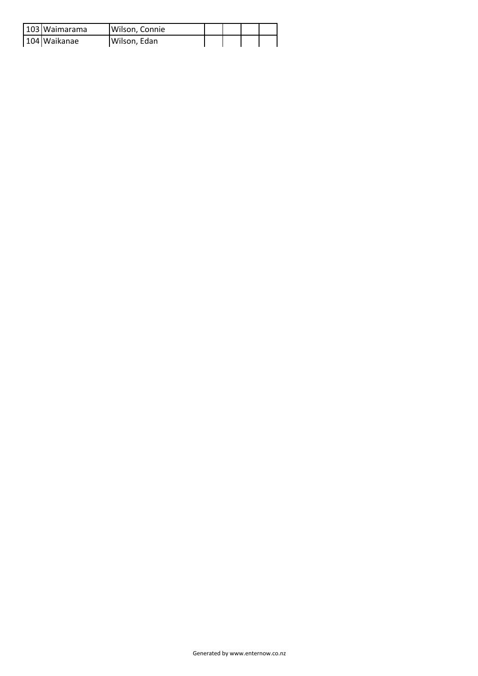| 103 Waimarama | Wilson, Connie |  |  |
|---------------|----------------|--|--|
| 104 Waikanae  | Wilson, Edan   |  |  |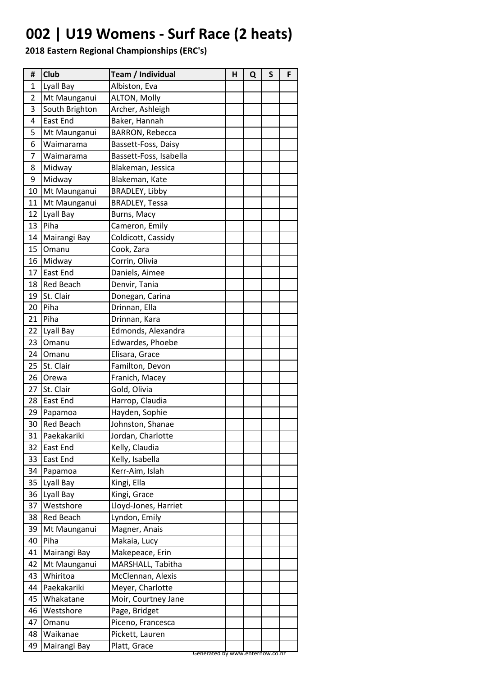## **002 | U19 Womens - Surf Race (2 heats)**

| #            | Club             | Team / Individual               | н | Q | S | F |
|--------------|------------------|---------------------------------|---|---|---|---|
| $\mathbf{1}$ | Lyall Bay        | Albiston, Eva                   |   |   |   |   |
| 2            | Mt Maunganui     | ALTON, Molly                    |   |   |   |   |
| 3            | South Brighton   | Archer, Ashleigh                |   |   |   |   |
| 4            | <b>East End</b>  | Baker, Hannah                   |   |   |   |   |
| 5            | Mt Maunganui     | <b>BARRON, Rebecca</b>          |   |   |   |   |
| 6            | Waimarama        | Bassett-Foss, Daisy             |   |   |   |   |
| 7            | Waimarama        | Bassett-Foss, Isabella          |   |   |   |   |
| 8            | Midway           | Blakeman, Jessica               |   |   |   |   |
| 9            | Midway           | Blakeman, Kate                  |   |   |   |   |
| 10           | Mt Maunganui     | <b>BRADLEY, Libby</b>           |   |   |   |   |
| 11           | Mt Maunganui     | <b>BRADLEY, Tessa</b>           |   |   |   |   |
| 12           | Lyall Bay        | Burns, Macy                     |   |   |   |   |
| 13           | Piha             | Cameron, Emily                  |   |   |   |   |
| 14           | Mairangi Bay     | Coldicott, Cassidy              |   |   |   |   |
| 15           | Omanu            | Cook, Zara                      |   |   |   |   |
| 16           | Midway           | Corrin, Olivia                  |   |   |   |   |
| 17           | <b>East End</b>  | Daniels, Aimee                  |   |   |   |   |
| 18           | <b>Red Beach</b> | Denvir, Tania                   |   |   |   |   |
| 19           | St. Clair        | Donegan, Carina                 |   |   |   |   |
| 20           | Piha             | Drinnan, Ella                   |   |   |   |   |
| 21           | Piha             | Drinnan, Kara                   |   |   |   |   |
| 22           | Lyall Bay        | Edmonds, Alexandra              |   |   |   |   |
| 23           | Omanu            | Edwardes, Phoebe                |   |   |   |   |
| 24           | Omanu            | Elisara, Grace                  |   |   |   |   |
| 25           | St. Clair        | Familton, Devon                 |   |   |   |   |
| 26           | Orewa            | Franich, Macey                  |   |   |   |   |
| 27           | St. Clair        | Gold, Olivia                    |   |   |   |   |
| 28           | East End         | Harrop, Claudia                 |   |   |   |   |
| 29           | Papamoa          | Hayden, Sophie                  |   |   |   |   |
| 30           | <b>Red Beach</b> | Johnston, Shanae                |   |   |   |   |
| 31           | Paekakariki      | Jordan, Charlotte               |   |   |   |   |
| 32           | <b>East End</b>  | Kelly, Claudia                  |   |   |   |   |
| 33           | <b>East End</b>  | Kelly, Isabella                 |   |   |   |   |
| 34           | Papamoa          | Kerr-Aim, Islah                 |   |   |   |   |
| 35           | Lyall Bay        | Kingi, Ella                     |   |   |   |   |
| 36           | Lyall Bay        | Kingi, Grace                    |   |   |   |   |
| 37           | Westshore        | Lloyd-Jones, Harriet            |   |   |   |   |
| 38           | <b>Red Beach</b> | Lyndon, Emily                   |   |   |   |   |
| 39           | Mt Maunganui     | Magner, Anais                   |   |   |   |   |
| 40           | Piha             | Makaia, Lucy                    |   |   |   |   |
| 41           | Mairangi Bay     | Makepeace, Erin                 |   |   |   |   |
| 42           | Mt Maunganui     | MARSHALL, Tabitha               |   |   |   |   |
| 43           | Whiritoa         | McClennan, Alexis               |   |   |   |   |
| 44           | Paekakariki      | Meyer, Charlotte                |   |   |   |   |
| 45           | Whakatane        | Moir, Courtney Jane             |   |   |   |   |
| 46           | Westshore        | Page, Bridget                   |   |   |   |   |
| 47           | Omanu            | Piceno, Francesca               |   |   |   |   |
| 48           | Waikanae         | Pickett, Lauren                 |   |   |   |   |
| 49           | Mairangi Bay     | Platt, Grace                    |   |   |   |   |
|              |                  | Generated by www.enternow.co.nz |   |   |   |   |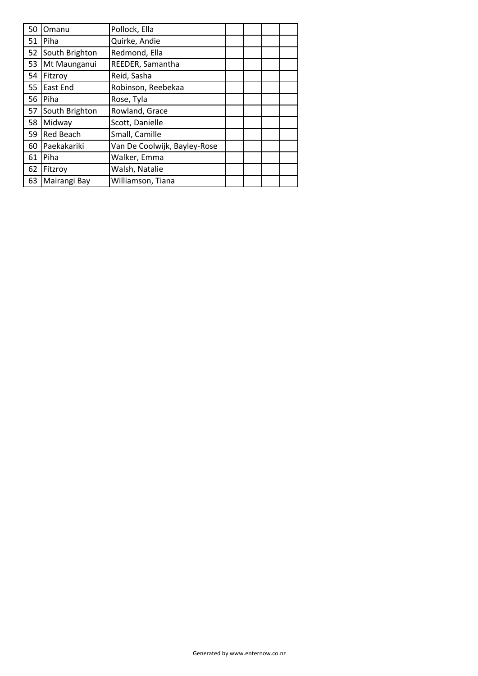| 50 | Omanu            | Pollock, Ella                |  |  |
|----|------------------|------------------------------|--|--|
| 51 | Piha             | Quirke, Andie                |  |  |
| 52 | South Brighton   | Redmond, Ella                |  |  |
| 53 | Mt Maunganui     | REEDER, Samantha             |  |  |
| 54 | Fitzroy          | Reid, Sasha                  |  |  |
| 55 | East End         | Robinson, Reebekaa           |  |  |
| 56 | Piha             | Rose, Tyla                   |  |  |
| 57 | South Brighton   | Rowland, Grace               |  |  |
| 58 | Midway           | Scott, Danielle              |  |  |
| 59 | <b>Red Beach</b> | Small, Camille               |  |  |
| 60 | Paekakariki      | Van De Coolwijk, Bayley-Rose |  |  |
| 61 | Piha             | Walker, Emma                 |  |  |
| 62 | Fitzroy          | Walsh, Natalie               |  |  |
| 63 | Mairangi Bay     | Williamson, Tiana            |  |  |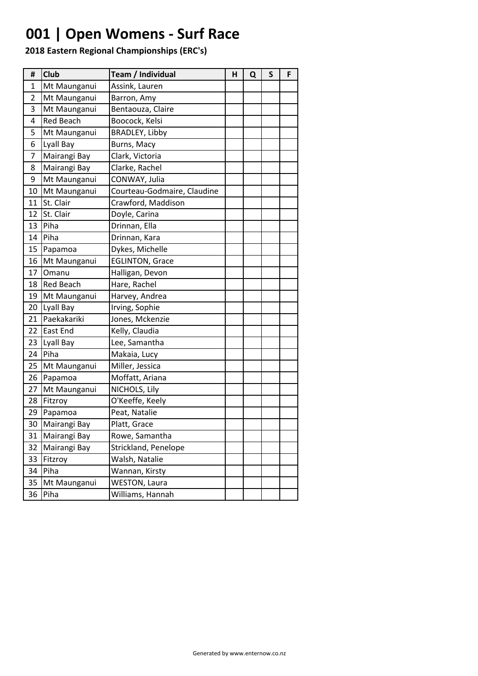## **001 | Open Womens - Surf Race**

| #  | <b>Club</b>      | Team / Individual           | н | Q | $\mathsf{s}$ | F |
|----|------------------|-----------------------------|---|---|--------------|---|
| 1  | Mt Maunganui     | Assink, Lauren              |   |   |              |   |
| 2  | Mt Maunganui     | Barron, Amy                 |   |   |              |   |
| 3  | Mt Maunganui     | Bentaouza, Claire           |   |   |              |   |
| 4  | <b>Red Beach</b> | Boocock, Kelsi              |   |   |              |   |
| 5  | Mt Maunganui     | BRADLEY, Libby              |   |   |              |   |
| 6  | Lyall Bay        | Burns, Macy                 |   |   |              |   |
| 7  | Mairangi Bay     | Clark, Victoria             |   |   |              |   |
| 8  | Mairangi Bay     | Clarke, Rachel              |   |   |              |   |
| 9  | Mt Maunganui     | CONWAY, Julia               |   |   |              |   |
| 10 | Mt Maunganui     | Courteau-Godmaire, Claudine |   |   |              |   |
| 11 | St. Clair        | Crawford, Maddison          |   |   |              |   |
| 12 | St. Clair        | Doyle, Carina               |   |   |              |   |
| 13 | Piha             | Drinnan, Ella               |   |   |              |   |
| 14 | Piha             | Drinnan, Kara               |   |   |              |   |
| 15 | Papamoa          | Dykes, Michelle             |   |   |              |   |
| 16 | Mt Maunganui     | <b>EGLINTON, Grace</b>      |   |   |              |   |
| 17 | Omanu            | Halligan, Devon             |   |   |              |   |
| 18 | <b>Red Beach</b> | Hare, Rachel                |   |   |              |   |
| 19 | Mt Maunganui     | Harvey, Andrea              |   |   |              |   |
| 20 | Lyall Bay        | Irving, Sophie              |   |   |              |   |
| 21 | Paekakariki      | Jones, Mckenzie             |   |   |              |   |
| 22 | East End         | Kelly, Claudia              |   |   |              |   |
| 23 | Lyall Bay        | Lee, Samantha               |   |   |              |   |
| 24 | Piha             | Makaia, Lucy                |   |   |              |   |
| 25 | Mt Maunganui     | Miller, Jessica             |   |   |              |   |
| 26 | Papamoa          | Moffatt, Ariana             |   |   |              |   |
| 27 | Mt Maunganui     | NICHOLS, Lily               |   |   |              |   |
| 28 | Fitzroy          | O'Keeffe, Keely             |   |   |              |   |
| 29 | Papamoa          | Peat, Natalie               |   |   |              |   |
| 30 | Mairangi Bay     | Platt, Grace                |   |   |              |   |
| 31 | Mairangi Bay     | Rowe, Samantha              |   |   |              |   |
| 32 | Mairangi Bay     | Strickland, Penelope        |   |   |              |   |
| 33 | Fitzroy          | Walsh, Natalie              |   |   |              |   |
| 34 | Piha             | Wannan, Kirsty              |   |   |              |   |
| 35 | Mt Maunganui     | <b>WESTON, Laura</b>        |   |   |              |   |
| 36 | Piha             | Williams, Hannah            |   |   |              |   |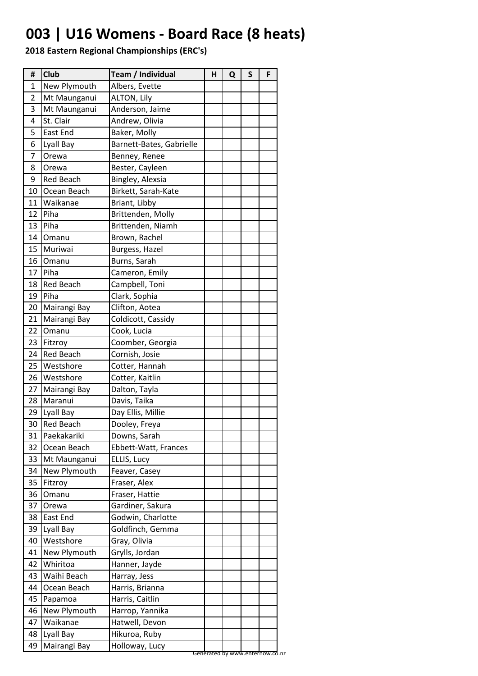### **003 | U16 Womens - Board Race (8 heats)**

| #  | Club             | Team / Individual        | н | Q | S | F |
|----|------------------|--------------------------|---|---|---|---|
| 1  | New Plymouth     | Albers, Evette           |   |   |   |   |
| 2  | Mt Maunganui     | <b>ALTON, Lily</b>       |   |   |   |   |
| 3  | Mt Maunganui     | Anderson, Jaime          |   |   |   |   |
| 4  | St. Clair        | Andrew, Olivia           |   |   |   |   |
| 5  | East End         | Baker, Molly             |   |   |   |   |
| 6  | Lyall Bay        | Barnett-Bates, Gabrielle |   |   |   |   |
| 7  | Orewa            | Benney, Renee            |   |   |   |   |
| 8  | Orewa            | Bester, Cayleen          |   |   |   |   |
| 9  | <b>Red Beach</b> | Bingley, Alexsia         |   |   |   |   |
| 10 | Ocean Beach      | Birkett, Sarah-Kate      |   |   |   |   |
| 11 | Waikanae         | Briant, Libby            |   |   |   |   |
| 12 | Piha             | Brittenden, Molly        |   |   |   |   |
| 13 | Piha             | Brittenden, Niamh        |   |   |   |   |
| 14 | Omanu            | Brown, Rachel            |   |   |   |   |
| 15 | Muriwai          | Burgess, Hazel           |   |   |   |   |
| 16 | Omanu            | Burns, Sarah             |   |   |   |   |
| 17 | Piha             | Cameron, Emily           |   |   |   |   |
| 18 | <b>Red Beach</b> | Campbell, Toni           |   |   |   |   |
| 19 | Piha             | Clark, Sophia            |   |   |   |   |
| 20 | Mairangi Bay     | Clifton, Aotea           |   |   |   |   |
| 21 | Mairangi Bay     | Coldicott, Cassidy       |   |   |   |   |
| 22 | Omanu            | Cook, Lucia              |   |   |   |   |
| 23 | Fitzroy          | Coomber, Georgia         |   |   |   |   |
| 24 | <b>Red Beach</b> | Cornish, Josie           |   |   |   |   |
| 25 | Westshore        | Cotter, Hannah           |   |   |   |   |
| 26 | Westshore        | Cotter, Kaitlin          |   |   |   |   |
| 27 | Mairangi Bay     | Dalton, Tayla            |   |   |   |   |
| 28 | Maranui          | Davis, Taika             |   |   |   |   |
| 29 | Lyall Bay        | Day Ellis, Millie        |   |   |   |   |
| 30 | <b>Red Beach</b> | Dooley, Freya            |   |   |   |   |
| 31 | Paekakariki      | Downs, Sarah             |   |   |   |   |
| 32 | Ocean Beach      | Ebbett-Watt, Frances     |   |   |   |   |
| 33 | Mt Maunganui     | ELLIS, Lucy              |   |   |   |   |
| 34 | New Plymouth     | Feaver, Casey            |   |   |   |   |
| 35 | Fitzroy          | Fraser, Alex             |   |   |   |   |
| 36 | Omanu            | Fraser, Hattie           |   |   |   |   |
| 37 | Orewa            | Gardiner, Sakura         |   |   |   |   |
| 38 | East End         | Godwin, Charlotte        |   |   |   |   |
| 39 | Lyall Bay        | Goldfinch, Gemma         |   |   |   |   |
| 40 | Westshore        | Gray, Olivia             |   |   |   |   |
| 41 | New Plymouth     | Grylls, Jordan           |   |   |   |   |
| 42 | Whiritoa         | Hanner, Jayde            |   |   |   |   |
| 43 | Waihi Beach      | Harray, Jess             |   |   |   |   |
| 44 | Ocean Beach      | Harris, Brianna          |   |   |   |   |
| 45 | Papamoa          | Harris, Caitlin          |   |   |   |   |
| 46 | New Plymouth     | Harrop, Yannika          |   |   |   |   |
| 47 | Waikanae         | Hatwell, Devon           |   |   |   |   |
| 48 | Lyall Bay        | Hikuroa, Ruby            |   |   |   |   |
| 49 | Mairangi Bay     | Holloway, Lucy           |   |   |   |   |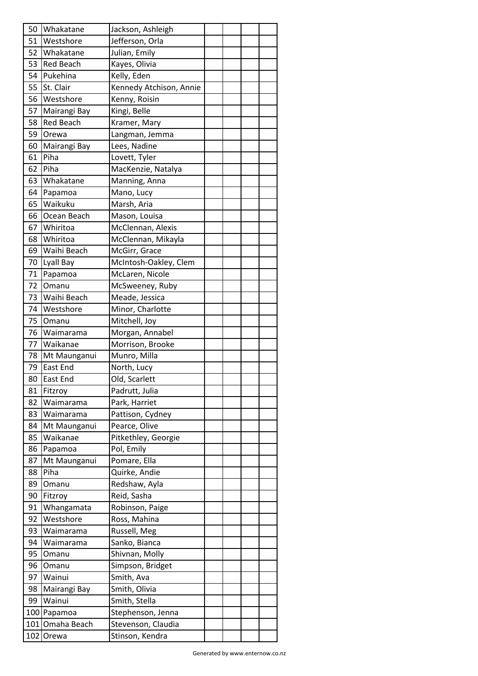| 51<br>Westshore<br>Jefferson, Orla<br>52<br>Whakatane<br>Julian, Emily<br>Kayes, Olivia<br>53<br><b>Red Beach</b><br>54<br>Pukehina<br>Kelly, Eden<br>55<br>Kennedy Atchison, Annie<br>St. Clair<br>56<br>Westshore<br>Kenny, Roisin<br>Kingi, Belle<br>57<br>Mairangi Bay<br><b>Red Beach</b><br>58<br>Kramer, Mary<br>59<br>Langman, Jemma<br>Orewa<br>Lees, Nadine<br>60<br>Mairangi Bay<br>Piha<br>61<br>Lovett, Tyler<br>62<br>Piha<br>MacKenzie, Natalya<br>63<br>Whakatane<br>Manning, Anna<br>64<br>Mano, Lucy<br>Papamoa<br>65<br>Waikuku<br>Marsh, Aria<br>66<br>Ocean Beach<br>Mason, Louisa<br>67<br>Whiritoa<br>McClennan, Alexis<br>Whiritoa<br>68<br>McClennan, Mikayla<br>69<br>Waihi Beach<br>McGirr, Grace<br>McIntosh-Oakley, Clem<br>Lyall Bay<br>70<br>71<br>McLaren, Nicole<br>Papamoa<br>72<br>Omanu<br>McSweeney, Ruby<br>73<br>Waihi Beach<br>Meade, Jessica<br>74<br>Westshore<br>Minor, Charlotte<br>75<br>Mitchell, Joy<br>Omanu<br>76<br>Morgan, Annabel<br>Waimarama<br>77<br>Waikanae<br>Morrison, Brooke<br>78<br>Munro, Milla<br>Mt Maunganui<br><b>East End</b><br>79<br>North, Lucy<br>Old, Scarlett<br>80<br><b>East End</b><br>81<br>Fitzroy<br>Padrutt, Julia<br>Park, Harriet<br>82<br>Waimarama<br>83<br>Pattison, Cydney<br>Waimarama<br>Mt Maunganui<br>Pearce, Olive<br>84<br>Pitkethley, Georgie<br>85<br>Waikanae<br>Pol, Emily<br>86<br>Papamoa<br>Pomare, Ella<br>87<br>Mt Maunganui<br>Quirke, Andie<br>88<br>Piha<br>89<br>Redshaw, Ayla<br>Omanu<br>90<br>Reid, Sasha<br>Fitzroy<br>Whangamata<br>Robinson, Paige<br>91<br>Westshore<br>Ross, Mahina<br>92<br>Russell, Meg<br>93<br>Waimarama<br>Sanko, Bianca<br>94<br>Waimarama<br>Shivnan, Molly<br>95<br>Omanu<br>96<br>Simpson, Bridget<br>Omanu<br>Smith, Ava<br>97<br>Wainui<br>Smith, Olivia<br>98<br>Mairangi Bay<br>99<br>Wainui<br>Smith, Stella<br>100 Papamoa<br>Stephenson, Jenna<br>101 Omaha Beach<br>Stevenson, Claudia<br>102 Orewa<br>Stinson, Kendra | 50 | Whakatane | Jackson, Ashleigh |  |  |
|----------------------------------------------------------------------------------------------------------------------------------------------------------------------------------------------------------------------------------------------------------------------------------------------------------------------------------------------------------------------------------------------------------------------------------------------------------------------------------------------------------------------------------------------------------------------------------------------------------------------------------------------------------------------------------------------------------------------------------------------------------------------------------------------------------------------------------------------------------------------------------------------------------------------------------------------------------------------------------------------------------------------------------------------------------------------------------------------------------------------------------------------------------------------------------------------------------------------------------------------------------------------------------------------------------------------------------------------------------------------------------------------------------------------------------------------------------------------------------------------------------------------------------------------------------------------------------------------------------------------------------------------------------------------------------------------------------------------------------------------------------------------------------------------------------------------------------------------------------------------------------------------------------------------------------------------------------------------------|----|-----------|-------------------|--|--|
|                                                                                                                                                                                                                                                                                                                                                                                                                                                                                                                                                                                                                                                                                                                                                                                                                                                                                                                                                                                                                                                                                                                                                                                                                                                                                                                                                                                                                                                                                                                                                                                                                                                                                                                                                                                                                                                                                                                                                                            |    |           |                   |  |  |
|                                                                                                                                                                                                                                                                                                                                                                                                                                                                                                                                                                                                                                                                                                                                                                                                                                                                                                                                                                                                                                                                                                                                                                                                                                                                                                                                                                                                                                                                                                                                                                                                                                                                                                                                                                                                                                                                                                                                                                            |    |           |                   |  |  |
|                                                                                                                                                                                                                                                                                                                                                                                                                                                                                                                                                                                                                                                                                                                                                                                                                                                                                                                                                                                                                                                                                                                                                                                                                                                                                                                                                                                                                                                                                                                                                                                                                                                                                                                                                                                                                                                                                                                                                                            |    |           |                   |  |  |
|                                                                                                                                                                                                                                                                                                                                                                                                                                                                                                                                                                                                                                                                                                                                                                                                                                                                                                                                                                                                                                                                                                                                                                                                                                                                                                                                                                                                                                                                                                                                                                                                                                                                                                                                                                                                                                                                                                                                                                            |    |           |                   |  |  |
|                                                                                                                                                                                                                                                                                                                                                                                                                                                                                                                                                                                                                                                                                                                                                                                                                                                                                                                                                                                                                                                                                                                                                                                                                                                                                                                                                                                                                                                                                                                                                                                                                                                                                                                                                                                                                                                                                                                                                                            |    |           |                   |  |  |
|                                                                                                                                                                                                                                                                                                                                                                                                                                                                                                                                                                                                                                                                                                                                                                                                                                                                                                                                                                                                                                                                                                                                                                                                                                                                                                                                                                                                                                                                                                                                                                                                                                                                                                                                                                                                                                                                                                                                                                            |    |           |                   |  |  |
|                                                                                                                                                                                                                                                                                                                                                                                                                                                                                                                                                                                                                                                                                                                                                                                                                                                                                                                                                                                                                                                                                                                                                                                                                                                                                                                                                                                                                                                                                                                                                                                                                                                                                                                                                                                                                                                                                                                                                                            |    |           |                   |  |  |
|                                                                                                                                                                                                                                                                                                                                                                                                                                                                                                                                                                                                                                                                                                                                                                                                                                                                                                                                                                                                                                                                                                                                                                                                                                                                                                                                                                                                                                                                                                                                                                                                                                                                                                                                                                                                                                                                                                                                                                            |    |           |                   |  |  |
|                                                                                                                                                                                                                                                                                                                                                                                                                                                                                                                                                                                                                                                                                                                                                                                                                                                                                                                                                                                                                                                                                                                                                                                                                                                                                                                                                                                                                                                                                                                                                                                                                                                                                                                                                                                                                                                                                                                                                                            |    |           |                   |  |  |
|                                                                                                                                                                                                                                                                                                                                                                                                                                                                                                                                                                                                                                                                                                                                                                                                                                                                                                                                                                                                                                                                                                                                                                                                                                                                                                                                                                                                                                                                                                                                                                                                                                                                                                                                                                                                                                                                                                                                                                            |    |           |                   |  |  |
|                                                                                                                                                                                                                                                                                                                                                                                                                                                                                                                                                                                                                                                                                                                                                                                                                                                                                                                                                                                                                                                                                                                                                                                                                                                                                                                                                                                                                                                                                                                                                                                                                                                                                                                                                                                                                                                                                                                                                                            |    |           |                   |  |  |
|                                                                                                                                                                                                                                                                                                                                                                                                                                                                                                                                                                                                                                                                                                                                                                                                                                                                                                                                                                                                                                                                                                                                                                                                                                                                                                                                                                                                                                                                                                                                                                                                                                                                                                                                                                                                                                                                                                                                                                            |    |           |                   |  |  |
|                                                                                                                                                                                                                                                                                                                                                                                                                                                                                                                                                                                                                                                                                                                                                                                                                                                                                                                                                                                                                                                                                                                                                                                                                                                                                                                                                                                                                                                                                                                                                                                                                                                                                                                                                                                                                                                                                                                                                                            |    |           |                   |  |  |
|                                                                                                                                                                                                                                                                                                                                                                                                                                                                                                                                                                                                                                                                                                                                                                                                                                                                                                                                                                                                                                                                                                                                                                                                                                                                                                                                                                                                                                                                                                                                                                                                                                                                                                                                                                                                                                                                                                                                                                            |    |           |                   |  |  |
|                                                                                                                                                                                                                                                                                                                                                                                                                                                                                                                                                                                                                                                                                                                                                                                                                                                                                                                                                                                                                                                                                                                                                                                                                                                                                                                                                                                                                                                                                                                                                                                                                                                                                                                                                                                                                                                                                                                                                                            |    |           |                   |  |  |
|                                                                                                                                                                                                                                                                                                                                                                                                                                                                                                                                                                                                                                                                                                                                                                                                                                                                                                                                                                                                                                                                                                                                                                                                                                                                                                                                                                                                                                                                                                                                                                                                                                                                                                                                                                                                                                                                                                                                                                            |    |           |                   |  |  |
|                                                                                                                                                                                                                                                                                                                                                                                                                                                                                                                                                                                                                                                                                                                                                                                                                                                                                                                                                                                                                                                                                                                                                                                                                                                                                                                                                                                                                                                                                                                                                                                                                                                                                                                                                                                                                                                                                                                                                                            |    |           |                   |  |  |
|                                                                                                                                                                                                                                                                                                                                                                                                                                                                                                                                                                                                                                                                                                                                                                                                                                                                                                                                                                                                                                                                                                                                                                                                                                                                                                                                                                                                                                                                                                                                                                                                                                                                                                                                                                                                                                                                                                                                                                            |    |           |                   |  |  |
|                                                                                                                                                                                                                                                                                                                                                                                                                                                                                                                                                                                                                                                                                                                                                                                                                                                                                                                                                                                                                                                                                                                                                                                                                                                                                                                                                                                                                                                                                                                                                                                                                                                                                                                                                                                                                                                                                                                                                                            |    |           |                   |  |  |
|                                                                                                                                                                                                                                                                                                                                                                                                                                                                                                                                                                                                                                                                                                                                                                                                                                                                                                                                                                                                                                                                                                                                                                                                                                                                                                                                                                                                                                                                                                                                                                                                                                                                                                                                                                                                                                                                                                                                                                            |    |           |                   |  |  |
|                                                                                                                                                                                                                                                                                                                                                                                                                                                                                                                                                                                                                                                                                                                                                                                                                                                                                                                                                                                                                                                                                                                                                                                                                                                                                                                                                                                                                                                                                                                                                                                                                                                                                                                                                                                                                                                                                                                                                                            |    |           |                   |  |  |
|                                                                                                                                                                                                                                                                                                                                                                                                                                                                                                                                                                                                                                                                                                                                                                                                                                                                                                                                                                                                                                                                                                                                                                                                                                                                                                                                                                                                                                                                                                                                                                                                                                                                                                                                                                                                                                                                                                                                                                            |    |           |                   |  |  |
|                                                                                                                                                                                                                                                                                                                                                                                                                                                                                                                                                                                                                                                                                                                                                                                                                                                                                                                                                                                                                                                                                                                                                                                                                                                                                                                                                                                                                                                                                                                                                                                                                                                                                                                                                                                                                                                                                                                                                                            |    |           |                   |  |  |
|                                                                                                                                                                                                                                                                                                                                                                                                                                                                                                                                                                                                                                                                                                                                                                                                                                                                                                                                                                                                                                                                                                                                                                                                                                                                                                                                                                                                                                                                                                                                                                                                                                                                                                                                                                                                                                                                                                                                                                            |    |           |                   |  |  |
|                                                                                                                                                                                                                                                                                                                                                                                                                                                                                                                                                                                                                                                                                                                                                                                                                                                                                                                                                                                                                                                                                                                                                                                                                                                                                                                                                                                                                                                                                                                                                                                                                                                                                                                                                                                                                                                                                                                                                                            |    |           |                   |  |  |
|                                                                                                                                                                                                                                                                                                                                                                                                                                                                                                                                                                                                                                                                                                                                                                                                                                                                                                                                                                                                                                                                                                                                                                                                                                                                                                                                                                                                                                                                                                                                                                                                                                                                                                                                                                                                                                                                                                                                                                            |    |           |                   |  |  |
|                                                                                                                                                                                                                                                                                                                                                                                                                                                                                                                                                                                                                                                                                                                                                                                                                                                                                                                                                                                                                                                                                                                                                                                                                                                                                                                                                                                                                                                                                                                                                                                                                                                                                                                                                                                                                                                                                                                                                                            |    |           |                   |  |  |
|                                                                                                                                                                                                                                                                                                                                                                                                                                                                                                                                                                                                                                                                                                                                                                                                                                                                                                                                                                                                                                                                                                                                                                                                                                                                                                                                                                                                                                                                                                                                                                                                                                                                                                                                                                                                                                                                                                                                                                            |    |           |                   |  |  |
|                                                                                                                                                                                                                                                                                                                                                                                                                                                                                                                                                                                                                                                                                                                                                                                                                                                                                                                                                                                                                                                                                                                                                                                                                                                                                                                                                                                                                                                                                                                                                                                                                                                                                                                                                                                                                                                                                                                                                                            |    |           |                   |  |  |
|                                                                                                                                                                                                                                                                                                                                                                                                                                                                                                                                                                                                                                                                                                                                                                                                                                                                                                                                                                                                                                                                                                                                                                                                                                                                                                                                                                                                                                                                                                                                                                                                                                                                                                                                                                                                                                                                                                                                                                            |    |           |                   |  |  |
|                                                                                                                                                                                                                                                                                                                                                                                                                                                                                                                                                                                                                                                                                                                                                                                                                                                                                                                                                                                                                                                                                                                                                                                                                                                                                                                                                                                                                                                                                                                                                                                                                                                                                                                                                                                                                                                                                                                                                                            |    |           |                   |  |  |
|                                                                                                                                                                                                                                                                                                                                                                                                                                                                                                                                                                                                                                                                                                                                                                                                                                                                                                                                                                                                                                                                                                                                                                                                                                                                                                                                                                                                                                                                                                                                                                                                                                                                                                                                                                                                                                                                                                                                                                            |    |           |                   |  |  |
|                                                                                                                                                                                                                                                                                                                                                                                                                                                                                                                                                                                                                                                                                                                                                                                                                                                                                                                                                                                                                                                                                                                                                                                                                                                                                                                                                                                                                                                                                                                                                                                                                                                                                                                                                                                                                                                                                                                                                                            |    |           |                   |  |  |
|                                                                                                                                                                                                                                                                                                                                                                                                                                                                                                                                                                                                                                                                                                                                                                                                                                                                                                                                                                                                                                                                                                                                                                                                                                                                                                                                                                                                                                                                                                                                                                                                                                                                                                                                                                                                                                                                                                                                                                            |    |           |                   |  |  |
|                                                                                                                                                                                                                                                                                                                                                                                                                                                                                                                                                                                                                                                                                                                                                                                                                                                                                                                                                                                                                                                                                                                                                                                                                                                                                                                                                                                                                                                                                                                                                                                                                                                                                                                                                                                                                                                                                                                                                                            |    |           |                   |  |  |
|                                                                                                                                                                                                                                                                                                                                                                                                                                                                                                                                                                                                                                                                                                                                                                                                                                                                                                                                                                                                                                                                                                                                                                                                                                                                                                                                                                                                                                                                                                                                                                                                                                                                                                                                                                                                                                                                                                                                                                            |    |           |                   |  |  |
|                                                                                                                                                                                                                                                                                                                                                                                                                                                                                                                                                                                                                                                                                                                                                                                                                                                                                                                                                                                                                                                                                                                                                                                                                                                                                                                                                                                                                                                                                                                                                                                                                                                                                                                                                                                                                                                                                                                                                                            |    |           |                   |  |  |
|                                                                                                                                                                                                                                                                                                                                                                                                                                                                                                                                                                                                                                                                                                                                                                                                                                                                                                                                                                                                                                                                                                                                                                                                                                                                                                                                                                                                                                                                                                                                                                                                                                                                                                                                                                                                                                                                                                                                                                            |    |           |                   |  |  |
|                                                                                                                                                                                                                                                                                                                                                                                                                                                                                                                                                                                                                                                                                                                                                                                                                                                                                                                                                                                                                                                                                                                                                                                                                                                                                                                                                                                                                                                                                                                                                                                                                                                                                                                                                                                                                                                                                                                                                                            |    |           |                   |  |  |
|                                                                                                                                                                                                                                                                                                                                                                                                                                                                                                                                                                                                                                                                                                                                                                                                                                                                                                                                                                                                                                                                                                                                                                                                                                                                                                                                                                                                                                                                                                                                                                                                                                                                                                                                                                                                                                                                                                                                                                            |    |           |                   |  |  |
|                                                                                                                                                                                                                                                                                                                                                                                                                                                                                                                                                                                                                                                                                                                                                                                                                                                                                                                                                                                                                                                                                                                                                                                                                                                                                                                                                                                                                                                                                                                                                                                                                                                                                                                                                                                                                                                                                                                                                                            |    |           |                   |  |  |
|                                                                                                                                                                                                                                                                                                                                                                                                                                                                                                                                                                                                                                                                                                                                                                                                                                                                                                                                                                                                                                                                                                                                                                                                                                                                                                                                                                                                                                                                                                                                                                                                                                                                                                                                                                                                                                                                                                                                                                            |    |           |                   |  |  |
|                                                                                                                                                                                                                                                                                                                                                                                                                                                                                                                                                                                                                                                                                                                                                                                                                                                                                                                                                                                                                                                                                                                                                                                                                                                                                                                                                                                                                                                                                                                                                                                                                                                                                                                                                                                                                                                                                                                                                                            |    |           |                   |  |  |
|                                                                                                                                                                                                                                                                                                                                                                                                                                                                                                                                                                                                                                                                                                                                                                                                                                                                                                                                                                                                                                                                                                                                                                                                                                                                                                                                                                                                                                                                                                                                                                                                                                                                                                                                                                                                                                                                                                                                                                            |    |           |                   |  |  |
|                                                                                                                                                                                                                                                                                                                                                                                                                                                                                                                                                                                                                                                                                                                                                                                                                                                                                                                                                                                                                                                                                                                                                                                                                                                                                                                                                                                                                                                                                                                                                                                                                                                                                                                                                                                                                                                                                                                                                                            |    |           |                   |  |  |
|                                                                                                                                                                                                                                                                                                                                                                                                                                                                                                                                                                                                                                                                                                                                                                                                                                                                                                                                                                                                                                                                                                                                                                                                                                                                                                                                                                                                                                                                                                                                                                                                                                                                                                                                                                                                                                                                                                                                                                            |    |           |                   |  |  |
|                                                                                                                                                                                                                                                                                                                                                                                                                                                                                                                                                                                                                                                                                                                                                                                                                                                                                                                                                                                                                                                                                                                                                                                                                                                                                                                                                                                                                                                                                                                                                                                                                                                                                                                                                                                                                                                                                                                                                                            |    |           |                   |  |  |
|                                                                                                                                                                                                                                                                                                                                                                                                                                                                                                                                                                                                                                                                                                                                                                                                                                                                                                                                                                                                                                                                                                                                                                                                                                                                                                                                                                                                                                                                                                                                                                                                                                                                                                                                                                                                                                                                                                                                                                            |    |           |                   |  |  |
|                                                                                                                                                                                                                                                                                                                                                                                                                                                                                                                                                                                                                                                                                                                                                                                                                                                                                                                                                                                                                                                                                                                                                                                                                                                                                                                                                                                                                                                                                                                                                                                                                                                                                                                                                                                                                                                                                                                                                                            |    |           |                   |  |  |
|                                                                                                                                                                                                                                                                                                                                                                                                                                                                                                                                                                                                                                                                                                                                                                                                                                                                                                                                                                                                                                                                                                                                                                                                                                                                                                                                                                                                                                                                                                                                                                                                                                                                                                                                                                                                                                                                                                                                                                            |    |           |                   |  |  |
|                                                                                                                                                                                                                                                                                                                                                                                                                                                                                                                                                                                                                                                                                                                                                                                                                                                                                                                                                                                                                                                                                                                                                                                                                                                                                                                                                                                                                                                                                                                                                                                                                                                                                                                                                                                                                                                                                                                                                                            |    |           |                   |  |  |
|                                                                                                                                                                                                                                                                                                                                                                                                                                                                                                                                                                                                                                                                                                                                                                                                                                                                                                                                                                                                                                                                                                                                                                                                                                                                                                                                                                                                                                                                                                                                                                                                                                                                                                                                                                                                                                                                                                                                                                            |    |           |                   |  |  |
|                                                                                                                                                                                                                                                                                                                                                                                                                                                                                                                                                                                                                                                                                                                                                                                                                                                                                                                                                                                                                                                                                                                                                                                                                                                                                                                                                                                                                                                                                                                                                                                                                                                                                                                                                                                                                                                                                                                                                                            |    |           |                   |  |  |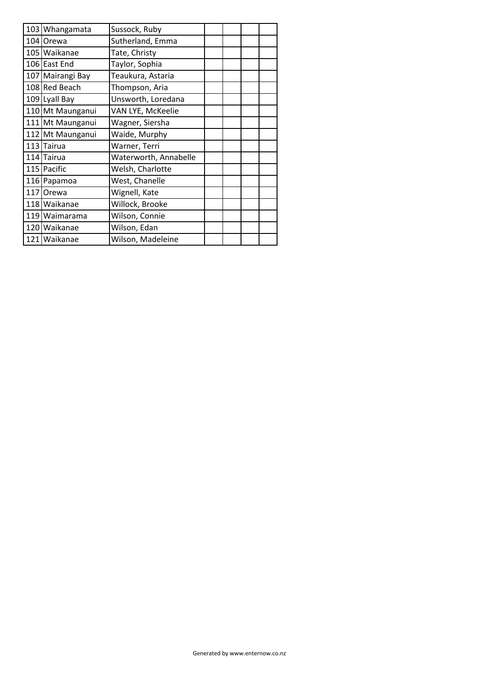| 103 Whangamata   | Sussock, Ruby         |  |  |
|------------------|-----------------------|--|--|
| 104 Orewa        | Sutherland, Emma      |  |  |
| 105 Waikanae     | Tate, Christy         |  |  |
| 106 East End     | Taylor, Sophia        |  |  |
| 107 Mairangi Bay | Teaukura, Astaria     |  |  |
| 108 Red Beach    | Thompson, Aria        |  |  |
| 109 Lyall Bay    | Unsworth, Loredana    |  |  |
| 110 Mt Maunganui | VAN LYE, McKeelie     |  |  |
| 111 Mt Maunganui | Wagner, Siersha       |  |  |
| 112 Mt Maunganui | Waide, Murphy         |  |  |
| 113 Tairua       | Warner, Terri         |  |  |
| 114 Tairua       | Waterworth, Annabelle |  |  |
| 115 Pacific      | Welsh, Charlotte      |  |  |
| 116 Papamoa      | West, Chanelle        |  |  |
| 117 Orewa        | Wignell, Kate         |  |  |
| 118 Waikanae     | Willock, Brooke       |  |  |
| 119 Waimarama    | Wilson, Connie        |  |  |
| 120 Waikanae     | Wilson, Edan          |  |  |
| 121 Waikanae     | Wilson, Madeleine     |  |  |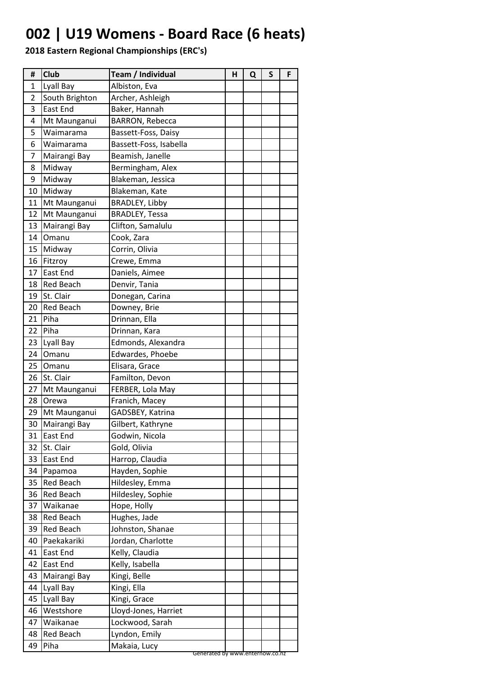# **002 | U19 Womens - Board Race (6 heats)**

| #              | <b>Club</b>      | Team / Individual               | н | Q | S | F |
|----------------|------------------|---------------------------------|---|---|---|---|
| 1              | Lyall Bay        | Albiston, Eva                   |   |   |   |   |
| $\overline{2}$ | South Brighton   | Archer, Ashleigh                |   |   |   |   |
| 3              | <b>East End</b>  | Baker, Hannah                   |   |   |   |   |
| 4              | Mt Maunganui     | BARRON, Rebecca                 |   |   |   |   |
| 5              | Waimarama        | Bassett-Foss, Daisy             |   |   |   |   |
| 6              | Waimarama        | Bassett-Foss, Isabella          |   |   |   |   |
| 7              | Mairangi Bay     | Beamish, Janelle                |   |   |   |   |
| 8              | Midway           | Bermingham, Alex                |   |   |   |   |
| 9              | Midway           | Blakeman, Jessica               |   |   |   |   |
| 10             | Midway           | Blakeman, Kate                  |   |   |   |   |
| 11             | Mt Maunganui     | <b>BRADLEY, Libby</b>           |   |   |   |   |
| 12             | Mt Maunganui     | <b>BRADLEY, Tessa</b>           |   |   |   |   |
| 13             | Mairangi Bay     | Clifton, Samalulu               |   |   |   |   |
| 14             | Omanu            | Cook, Zara                      |   |   |   |   |
| 15             | Midway           | Corrin, Olivia                  |   |   |   |   |
| 16             | Fitzroy          | Crewe, Emma                     |   |   |   |   |
| 17             | East End         | Daniels, Aimee                  |   |   |   |   |
| 18             | Red Beach        | Denvir, Tania                   |   |   |   |   |
| 19             | St. Clair        | Donegan, Carina                 |   |   |   |   |
| 20             | <b>Red Beach</b> | Downey, Brie                    |   |   |   |   |
| 21             | Piha             | Drinnan, Ella                   |   |   |   |   |
| 22             | Piha             | Drinnan, Kara                   |   |   |   |   |
| 23             | Lyall Bay        | Edmonds, Alexandra              |   |   |   |   |
| 24             | Omanu            | Edwardes, Phoebe                |   |   |   |   |
| 25             | Omanu            | Elisara, Grace                  |   |   |   |   |
| 26             | St. Clair        | Familton, Devon                 |   |   |   |   |
| 27             | Mt Maunganui     | FERBER, Lola May                |   |   |   |   |
| 28             | Orewa            | Franich, Macey                  |   |   |   |   |
| 29             | Mt Maunganui     | GADSBEY, Katrina                |   |   |   |   |
| 30             | Mairangi Bay     | Gilbert, Kathryne               |   |   |   |   |
| 31             | East End         | Godwin, Nicola                  |   |   |   |   |
| 32             | St. Clair        | Gold, Olivia                    |   |   |   |   |
| 33             | East End         | Harrop, Claudia                 |   |   |   |   |
| 34             | Papamoa          | Hayden, Sophie                  |   |   |   |   |
| 35             | <b>Red Beach</b> | Hildesley, Emma                 |   |   |   |   |
| 36             | <b>Red Beach</b> | Hildesley, Sophie               |   |   |   |   |
| 37             | Waikanae         | Hope, Holly                     |   |   |   |   |
| 38             | Red Beach        | Hughes, Jade                    |   |   |   |   |
| 39             | <b>Red Beach</b> | Johnston, Shanae                |   |   |   |   |
| 40             | Paekakariki      | Jordan, Charlotte               |   |   |   |   |
| 41             | East End         | Kelly, Claudia                  |   |   |   |   |
| 42             | East End         | Kelly, Isabella                 |   |   |   |   |
| 43             | Mairangi Bay     | Kingi, Belle                    |   |   |   |   |
| 44             | Lyall Bay        | Kingi, Ella                     |   |   |   |   |
| 45             | Lyall Bay        | Kingi, Grace                    |   |   |   |   |
| 46             | Westshore        | Lloyd-Jones, Harriet            |   |   |   |   |
| 47             | Waikanae         | Lockwood, Sarah                 |   |   |   |   |
|                | <b>Red Beach</b> | Lyndon, Emily                   |   |   |   |   |
| 48<br>49       | Piha             | Makaia, Lucy                    |   |   |   |   |
|                |                  | Generated by www.enternow.co.nz |   |   |   |   |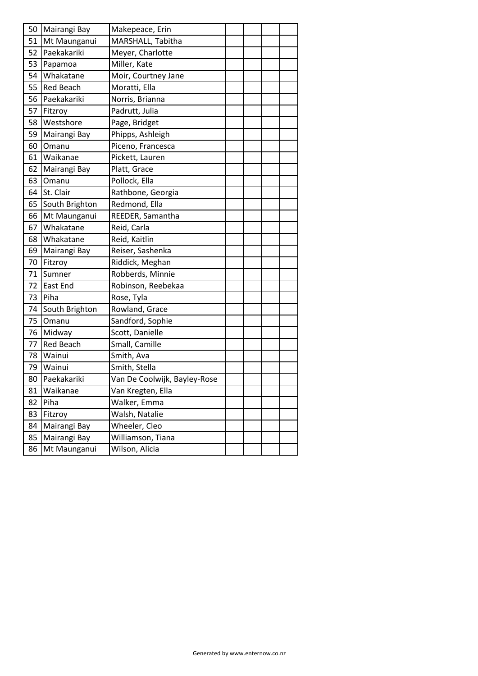| 50 | Mairangi Bay     | Makepeace, Erin              |  |  |
|----|------------------|------------------------------|--|--|
| 51 | Mt Maunganui     | MARSHALL, Tabitha            |  |  |
| 52 | Paekakariki      | Meyer, Charlotte             |  |  |
| 53 | Papamoa          | Miller, Kate                 |  |  |
| 54 | Whakatane        | Moir, Courtney Jane          |  |  |
| 55 | <b>Red Beach</b> | Moratti, Ella                |  |  |
| 56 | Paekakariki      | Norris, Brianna              |  |  |
| 57 | Fitzroy          | Padrutt, Julia               |  |  |
| 58 | Westshore        | Page, Bridget                |  |  |
| 59 | Mairangi Bay     | Phipps, Ashleigh             |  |  |
| 60 | Omanu            | Piceno, Francesca            |  |  |
| 61 | Waikanae         | Pickett, Lauren              |  |  |
| 62 | Mairangi Bay     | Platt, Grace                 |  |  |
| 63 | Omanu            | Pollock, Ella                |  |  |
| 64 | St. Clair        | Rathbone, Georgia            |  |  |
| 65 | South Brighton   | Redmond, Ella                |  |  |
| 66 | Mt Maunganui     | REEDER, Samantha             |  |  |
| 67 | Whakatane        | Reid, Carla                  |  |  |
| 68 | Whakatane        | Reid, Kaitlin                |  |  |
| 69 | Mairangi Bay     | Reiser, Sashenka             |  |  |
| 70 | Fitzroy          | Riddick, Meghan              |  |  |
| 71 | Sumner           | Robberds, Minnie             |  |  |
| 72 | <b>East End</b>  | Robinson, Reebekaa           |  |  |
| 73 | Piha             | Rose, Tyla                   |  |  |
| 74 | South Brighton   | Rowland, Grace               |  |  |
| 75 | Omanu            | Sandford, Sophie             |  |  |
| 76 | Midway           | Scott, Danielle              |  |  |
| 77 | <b>Red Beach</b> | Small, Camille               |  |  |
| 78 | Wainui           | Smith, Ava                   |  |  |
| 79 | Wainui           | Smith, Stella                |  |  |
| 80 | Paekakariki      | Van De Coolwijk, Bayley-Rose |  |  |
| 81 | Waikanae         | Van Kregten, Ella            |  |  |
| 82 | Piha             | Walker, Emma                 |  |  |
| 83 | Fitzroy          | Walsh, Natalie               |  |  |
| 84 | Mairangi Bay     | Wheeler, Cleo                |  |  |
| 85 | Mairangi Bay     | Williamson, Tiana            |  |  |
| 86 | Mt Maunganui     | Wilson, Alicia               |  |  |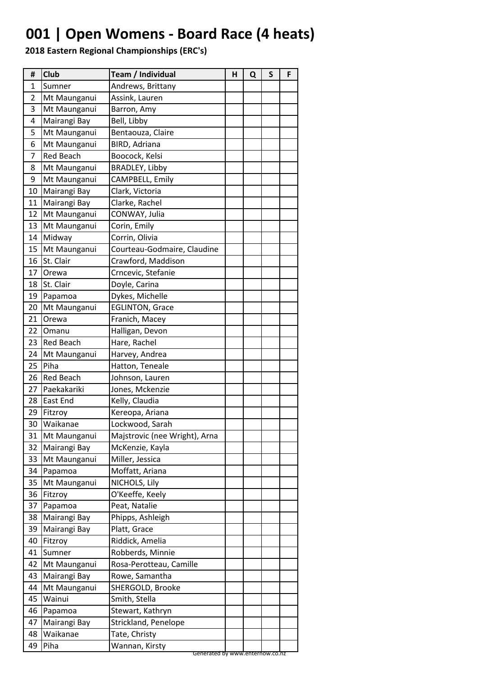### **001 | Open Womens - Board Race (4 heats)**

| #            | Club             | Team / Individual                                 | н | Q | S | F |
|--------------|------------------|---------------------------------------------------|---|---|---|---|
| $\mathbf{1}$ | Sumner           | Andrews, Brittany                                 |   |   |   |   |
| 2            | Mt Maunganui     | Assink, Lauren                                    |   |   |   |   |
| 3            | Mt Maunganui     | Barron, Amy                                       |   |   |   |   |
| 4            | Mairangi Bay     | Bell, Libby                                       |   |   |   |   |
| 5            | Mt Maunganui     | Bentaouza, Claire                                 |   |   |   |   |
| 6            | Mt Maunganui     | BIRD, Adriana                                     |   |   |   |   |
| 7            | <b>Red Beach</b> | Boocock, Kelsi                                    |   |   |   |   |
| 8            | Mt Maunganui     | <b>BRADLEY, Libby</b>                             |   |   |   |   |
| 9            | Mt Maunganui     | CAMPBELL, Emily                                   |   |   |   |   |
| 10           | Mairangi Bay     | Clark, Victoria                                   |   |   |   |   |
| 11           | Mairangi Bay     | Clarke, Rachel                                    |   |   |   |   |
| 12           | Mt Maunganui     | CONWAY, Julia                                     |   |   |   |   |
| 13           | Mt Maunganui     | Corin, Emily                                      |   |   |   |   |
| 14           | Midway           | Corrin, Olivia                                    |   |   |   |   |
| 15           | Mt Maunganui     | Courteau-Godmaire, Claudine                       |   |   |   |   |
| 16           | St. Clair        | Crawford, Maddison                                |   |   |   |   |
| 17           | Orewa            | Crncevic, Stefanie                                |   |   |   |   |
| 18           | St. Clair        | Doyle, Carina                                     |   |   |   |   |
| 19           | Papamoa          | Dykes, Michelle                                   |   |   |   |   |
| 20           | Mt Maunganui     | <b>EGLINTON, Grace</b>                            |   |   |   |   |
| 21           | Orewa            | Franich, Macey                                    |   |   |   |   |
| 22           | Omanu            | Halligan, Devon                                   |   |   |   |   |
| 23           | <b>Red Beach</b> | Hare, Rachel                                      |   |   |   |   |
| 24           | Mt Maunganui     | Harvey, Andrea                                    |   |   |   |   |
| 25           | Piha             | Hatton, Teneale                                   |   |   |   |   |
| 26           | <b>Red Beach</b> | Johnson, Lauren                                   |   |   |   |   |
| 27           | Paekakariki      | Jones, Mckenzie                                   |   |   |   |   |
| 28           | <b>East End</b>  | Kelly, Claudia                                    |   |   |   |   |
| 29           | Fitzroy          | Kereopa, Ariana                                   |   |   |   |   |
| 30           | Waikanae         | Lockwood, Sarah                                   |   |   |   |   |
| 31           | Mt Maunganui     | Majstrovic (nee Wright), Arna                     |   |   |   |   |
| 32           | Mairangi Bay     | McKenzie, Kayla                                   |   |   |   |   |
| 33           | Mt Maunganui     | Miller, Jessica                                   |   |   |   |   |
| 34           | Papamoa          | Moffatt, Ariana                                   |   |   |   |   |
| 35           | Mt Maunganui     | NICHOLS, Lily                                     |   |   |   |   |
| 36           | Fitzroy          | O'Keeffe, Keely                                   |   |   |   |   |
| 37           | Papamoa          | Peat, Natalie                                     |   |   |   |   |
| 38           | Mairangi Bay     | Phipps, Ashleigh                                  |   |   |   |   |
| 39           | Mairangi Bay     | Platt, Grace                                      |   |   |   |   |
| 40           | Fitzroy          | Riddick, Amelia                                   |   |   |   |   |
| 41           | Sumner           | Robberds, Minnie                                  |   |   |   |   |
| 42           | Mt Maunganui     | Rosa-Perotteau, Camille                           |   |   |   |   |
| 43           | Mairangi Bay     | Rowe, Samantha                                    |   |   |   |   |
| 44           | Mt Maunganui     | SHERGOLD, Brooke                                  |   |   |   |   |
| 45           | Wainui           | Smith, Stella                                     |   |   |   |   |
| 46           | Papamoa          | Stewart, Kathryn                                  |   |   |   |   |
| 47           | Mairangi Bay     | Strickland, Penelope                              |   |   |   |   |
| 48           | Waikanae         | Tate, Christy                                     |   |   |   |   |
| 49           | Piha             | Wannan, Kirsty<br>Generated by www.enternow.co.nz |   |   |   |   |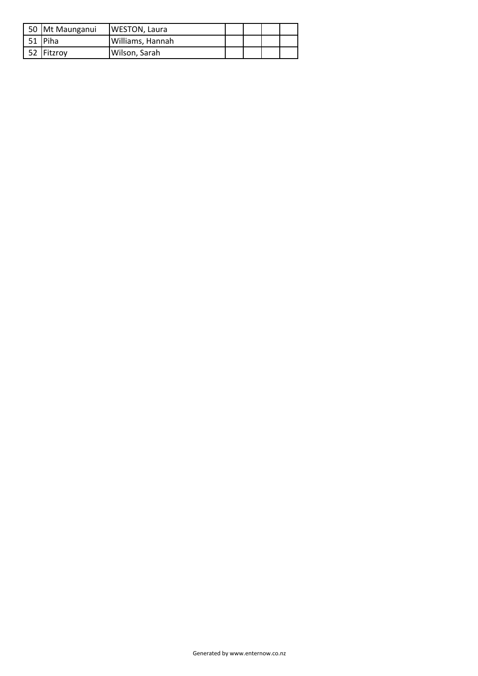| 50 Mt Maunganui | <b>WESTON, Laura</b> |  |  |
|-----------------|----------------------|--|--|
| 51 Piha         | Williams, Hannah     |  |  |
| 52 IFitzrov     | Wilson, Sarah        |  |  |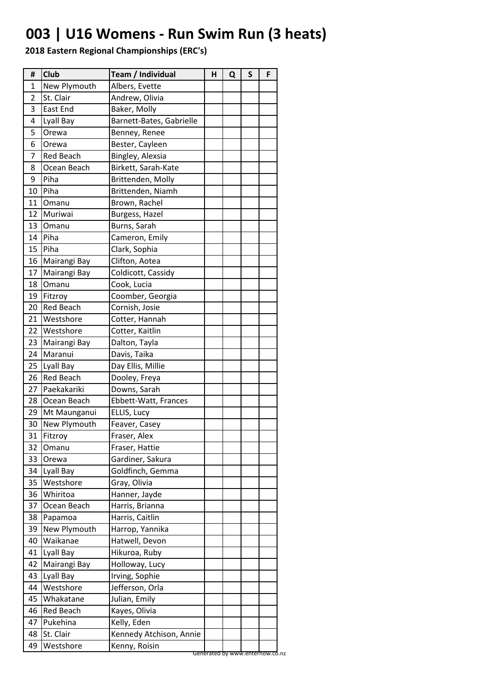### **003 | U16 Womens - Run Swim Run (3 heats)**

| #  | <b>Club</b>      | Team / Individual        | н | Q | S | F |
|----|------------------|--------------------------|---|---|---|---|
| 1  | New Plymouth     | Albers, Evette           |   |   |   |   |
| 2  | St. Clair        | Andrew, Olivia           |   |   |   |   |
| 3  | East End         | Baker, Molly             |   |   |   |   |
| 4  | Lyall Bay        | Barnett-Bates, Gabrielle |   |   |   |   |
| 5  | Orewa            | Benney, Renee            |   |   |   |   |
| 6  | Orewa            | Bester, Cayleen          |   |   |   |   |
| 7  | Red Beach        | Bingley, Alexsia         |   |   |   |   |
| 8  | Ocean Beach      | Birkett, Sarah-Kate      |   |   |   |   |
| 9  | Piha             | Brittenden, Molly        |   |   |   |   |
| 10 | Piha             | Brittenden, Niamh        |   |   |   |   |
| 11 | Omanu            | Brown, Rachel            |   |   |   |   |
| 12 | Muriwai          | Burgess, Hazel           |   |   |   |   |
| 13 | Omanu            | Burns, Sarah             |   |   |   |   |
| 14 | Piha             | Cameron, Emily           |   |   |   |   |
| 15 | Piha             | Clark, Sophia            |   |   |   |   |
| 16 | Mairangi Bay     | Clifton, Aotea           |   |   |   |   |
| 17 | Mairangi Bay     | Coldicott, Cassidy       |   |   |   |   |
| 18 | Omanu            | Cook, Lucia              |   |   |   |   |
| 19 | Fitzroy          | Coomber, Georgia         |   |   |   |   |
| 20 | <b>Red Beach</b> | Cornish, Josie           |   |   |   |   |
| 21 | Westshore        | Cotter, Hannah           |   |   |   |   |
| 22 | Westshore        | Cotter, Kaitlin          |   |   |   |   |
| 23 | Mairangi Bay     | Dalton, Tayla            |   |   |   |   |
| 24 | Maranui          | Davis, Taika             |   |   |   |   |
| 25 | Lyall Bay        | Day Ellis, Millie        |   |   |   |   |
| 26 | <b>Red Beach</b> | Dooley, Freya            |   |   |   |   |
| 27 | Paekakariki      | Downs, Sarah             |   |   |   |   |
| 28 | Ocean Beach      | Ebbett-Watt, Frances     |   |   |   |   |
| 29 | Mt Maunganui     | ELLIS, Lucy              |   |   |   |   |
| 30 | New Plymouth     | Feaver, Casey            |   |   |   |   |
| 31 | Fitzroy          | Fraser, Alex             |   |   |   |   |
| 32 | Omanu            | Fraser, Hattie           |   |   |   |   |
| 33 | Orewa            | Gardiner, Sakura         |   |   |   |   |
| 34 | Lyall Bay        | Goldfinch, Gemma         |   |   |   |   |
| 35 | Westshore        | Gray, Olivia             |   |   |   |   |
| 36 | Whiritoa         | Hanner, Jayde            |   |   |   |   |
| 37 | Ocean Beach      | Harris, Brianna          |   |   |   |   |
| 38 | Papamoa          | Harris, Caitlin          |   |   |   |   |
| 39 | New Plymouth     | Harrop, Yannika          |   |   |   |   |
| 40 | Waikanae         | Hatwell, Devon           |   |   |   |   |
| 41 | Lyall Bay        | Hikuroa, Ruby            |   |   |   |   |
| 42 | Mairangi Bay     | Holloway, Lucy           |   |   |   |   |
| 43 | Lyall Bay        | Irving, Sophie           |   |   |   |   |
| 44 | Westshore        | Jefferson, Orla          |   |   |   |   |
| 45 | Whakatane        | Julian, Emily            |   |   |   |   |
| 46 | Red Beach        | Kayes, Olivia            |   |   |   |   |
| 47 | Pukehina         | Kelly, Eden              |   |   |   |   |
| 48 | St. Clair        | Kennedy Atchison, Annie  |   |   |   |   |
| 49 | Westshore        | Kenny, Roisin            |   |   |   |   |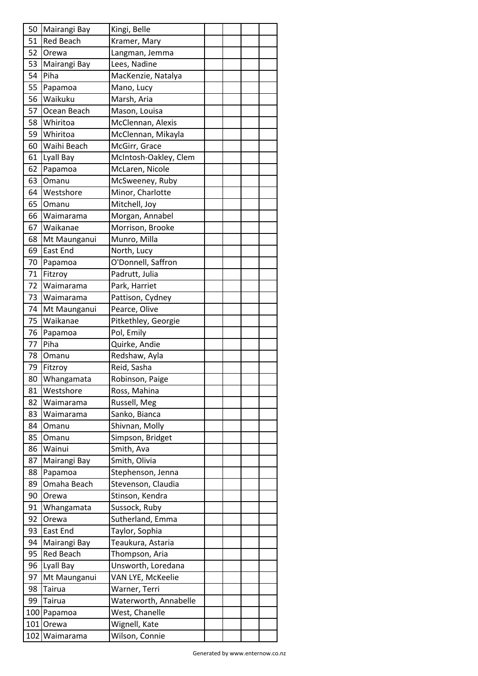| 50       | Mairangi Bay             | Kingi, Belle                   |  |  |
|----------|--------------------------|--------------------------------|--|--|
| 51       | <b>Red Beach</b>         | Kramer, Mary                   |  |  |
| 52       | Orewa                    | Langman, Jemma                 |  |  |
| 53       | Mairangi Bay             | Lees, Nadine                   |  |  |
| 54       | Piha                     | MacKenzie, Natalya             |  |  |
| 55       | Papamoa                  | Mano, Lucy                     |  |  |
| 56       | Waikuku                  | Marsh, Aria                    |  |  |
| 57       | Ocean Beach              | Mason, Louisa                  |  |  |
| 58       | Whiritoa                 | McClennan, Alexis              |  |  |
| 59       | Whiritoa                 | McClennan, Mikayla             |  |  |
| 60       | Waihi Beach              | McGirr, Grace                  |  |  |
| 61       | Lyall Bay                | McIntosh-Oakley, Clem          |  |  |
| 62       | Papamoa                  | McLaren, Nicole                |  |  |
| 63       | Omanu                    | McSweeney, Ruby                |  |  |
| 64       | Westshore                | Minor, Charlotte               |  |  |
| 65       | Omanu                    | Mitchell, Joy                  |  |  |
| 66       | Waimarama                | Morgan, Annabel                |  |  |
| 67       | Waikanae                 | Morrison, Brooke               |  |  |
| 68       | Mt Maunganui             | Munro, Milla                   |  |  |
| 69       | <b>East End</b>          | North, Lucy                    |  |  |
| 70       | Papamoa                  | O'Donnell, Saffron             |  |  |
| 71       | Fitzroy                  | Padrutt, Julia                 |  |  |
| 72       | Waimarama                | Park, Harriet                  |  |  |
| 73       |                          |                                |  |  |
| 74       | Waimarama                | Pattison, Cydney               |  |  |
| 75       | Mt Maunganui<br>Waikanae | Pearce, Olive                  |  |  |
|          |                          | Pitkethley, Georgie            |  |  |
| 76<br>77 | Papamoa<br>Piha          | Pol, Emily                     |  |  |
|          |                          | Quirke, Andie<br>Redshaw, Ayla |  |  |
| 78       | Omanu                    |                                |  |  |
| 79       | Fitzroy                  | Reid, Sasha                    |  |  |
| 80       | Whangamata               | Robinson, Paige                |  |  |
| 81       | Westshore                | Ross, Mahina                   |  |  |
| 82       | Waimarama                | Russell, Meg                   |  |  |
| 83       | Waimarama                | Sanko, Bianca                  |  |  |
| 84       | Omanu                    | Shivnan, Molly                 |  |  |
| 85       | Omanu                    | Simpson, Bridget               |  |  |
| 86       | Wainui                   | Smith, Ava                     |  |  |
| 87       | Mairangi Bay             | Smith, Olivia                  |  |  |
| 88       | Papamoa                  | Stephenson, Jenna              |  |  |
| 89       | Omaha Beach              | Stevenson, Claudia             |  |  |
| 90       | Orewa                    | Stinson, Kendra                |  |  |
| 91       | Whangamata               | Sussock, Ruby                  |  |  |
| 92       | Orewa                    | Sutherland, Emma               |  |  |
| 93       | East End                 | Taylor, Sophia                 |  |  |
| 94       | Mairangi Bay             | Teaukura, Astaria              |  |  |
| 95       | <b>Red Beach</b>         | Thompson, Aria                 |  |  |
| 96       | Lyall Bay                | Unsworth, Loredana             |  |  |
| 97       | Mt Maunganui             | VAN LYE, McKeelie              |  |  |
| 98       | Tairua                   | Warner, Terri                  |  |  |
| 99       | Tairua                   | Waterworth, Annabelle          |  |  |
|          | 100 Papamoa              | West, Chanelle                 |  |  |
|          | 101 Orewa                | Wignell, Kate                  |  |  |
|          | 102 Waimarama            | Wilson, Connie                 |  |  |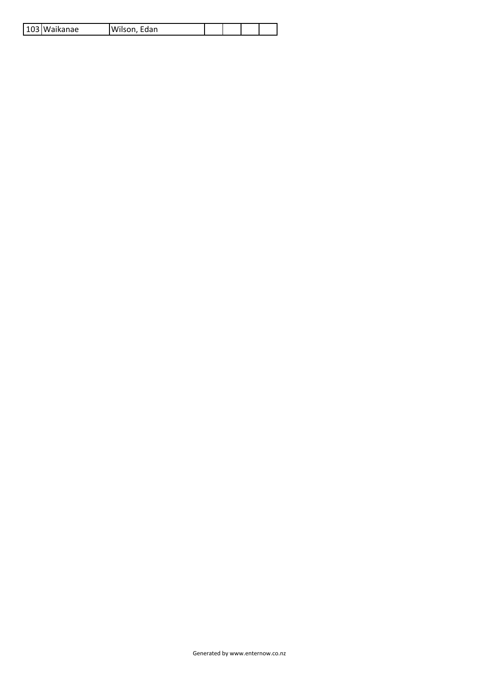|  |  | 103 Waikanae | Wilson,<br>Edan |  |  |  |  |
|--|--|--------------|-----------------|--|--|--|--|
|--|--|--------------|-----------------|--|--|--|--|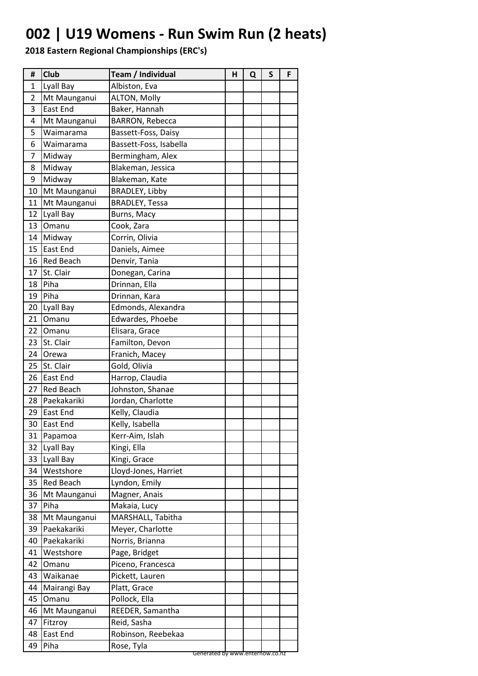### **002 | U19 Womens - Run Swim Run (2 heats)**

| #              | Club             | Team / Individual                             | Н | Q | S | F |
|----------------|------------------|-----------------------------------------------|---|---|---|---|
| 1              | Lyall Bay        | Albiston, Eva                                 |   |   |   |   |
| $\overline{2}$ | Mt Maunganui     | ALTON, Molly                                  |   |   |   |   |
| 3              | East End         | Baker, Hannah                                 |   |   |   |   |
| 4              | Mt Maunganui     | <b>BARRON, Rebecca</b>                        |   |   |   |   |
| 5              | Waimarama        | Bassett-Foss, Daisy                           |   |   |   |   |
| 6              | Waimarama        | Bassett-Foss, Isabella                        |   |   |   |   |
| 7              | Midway           | Bermingham, Alex                              |   |   |   |   |
| 8              | Midway           | Blakeman, Jessica                             |   |   |   |   |
| 9              | Midway           | Blakeman, Kate                                |   |   |   |   |
| 10             | Mt Maunganui     | BRADLEY, Libby                                |   |   |   |   |
| 11             | Mt Maunganui     | <b>BRADLEY, Tessa</b>                         |   |   |   |   |
| 12             | Lyall Bay        | Burns, Macy                                   |   |   |   |   |
| 13             | Omanu            | Cook, Zara                                    |   |   |   |   |
| 14             | Midway           | Corrin, Olivia                                |   |   |   |   |
| 15             | <b>East End</b>  | Daniels, Aimee                                |   |   |   |   |
| 16             | <b>Red Beach</b> | Denvir, Tania                                 |   |   |   |   |
| 17             | St. Clair        | Donegan, Carina                               |   |   |   |   |
| 18             | Piha             | Drinnan, Ella                                 |   |   |   |   |
| 19             | Piha             | Drinnan, Kara                                 |   |   |   |   |
| 20             | Lyall Bay        | Edmonds, Alexandra                            |   |   |   |   |
| 21             | Omanu            | Edwardes, Phoebe                              |   |   |   |   |
| 22             | Omanu            | Elisara, Grace                                |   |   |   |   |
| 23             | St. Clair        | Familton, Devon                               |   |   |   |   |
| 24             | Orewa            | Franich, Macey                                |   |   |   |   |
| 25             | St. Clair        | Gold, Olivia                                  |   |   |   |   |
| 26             | <b>East End</b>  | Harrop, Claudia                               |   |   |   |   |
| 27             | <b>Red Beach</b> | Johnston, Shanae                              |   |   |   |   |
| 28             | Paekakariki      | Jordan, Charlotte                             |   |   |   |   |
| 29             | <b>East End</b>  | Kelly, Claudia                                |   |   |   |   |
| 30             | <b>East End</b>  | Kelly, Isabella                               |   |   |   |   |
| 31             | Papamoa          | Kerr-Aim, Islah                               |   |   |   |   |
| 32             | Lyall Bay        | Kingi, Ella                                   |   |   |   |   |
| 33             | Lyall Bay        | Kingi, Grace                                  |   |   |   |   |
| 34             | Westshore        | Lloyd-Jones, Harriet                          |   |   |   |   |
| 35             | Red Beach        | Lyndon, Emily                                 |   |   |   |   |
| 36             | Mt Maunganui     | Magner, Anais                                 |   |   |   |   |
| 37             | Piha             | Makaia, Lucy                                  |   |   |   |   |
| 38             | Mt Maunganui     | MARSHALL, Tabitha                             |   |   |   |   |
| 39             | Paekakariki      | Meyer, Charlotte                              |   |   |   |   |
| 40             | Paekakariki      | Norris, Brianna                               |   |   |   |   |
| 41             | Westshore        | Page, Bridget                                 |   |   |   |   |
| 42             | Omanu            | Piceno, Francesca                             |   |   |   |   |
| 43             | Waikanae         | Pickett, Lauren                               |   |   |   |   |
| 44             | Mairangi Bay     | Platt, Grace                                  |   |   |   |   |
| 45             | Omanu            | Pollock, Ella                                 |   |   |   |   |
| 46             | Mt Maunganui     | REEDER, Samantha                              |   |   |   |   |
| 47             | Fitzroy          | Reid, Sasha                                   |   |   |   |   |
| 48             | East End         | Robinson, Reebekaa                            |   |   |   |   |
| 49             | Piha             | Rose, Tyla<br>Generated by www.enternow.co.nz |   |   |   |   |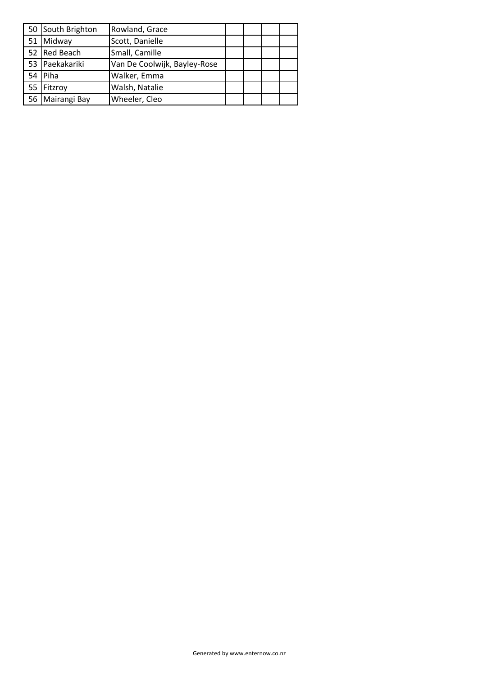|    | 50 South Brighton | Rowland, Grace               |  |  |
|----|-------------------|------------------------------|--|--|
| 51 | Midway            | Scott, Danielle              |  |  |
|    | Red Beach         | Small, Camille               |  |  |
| 53 | Paekakariki       | Van De Coolwijk, Bayley-Rose |  |  |
|    | Piha              | Walker, Emma                 |  |  |
| 55 | Fitzroy           | Walsh, Natalie               |  |  |
| 56 | Mairangi Bay      | Wheeler, Cleo                |  |  |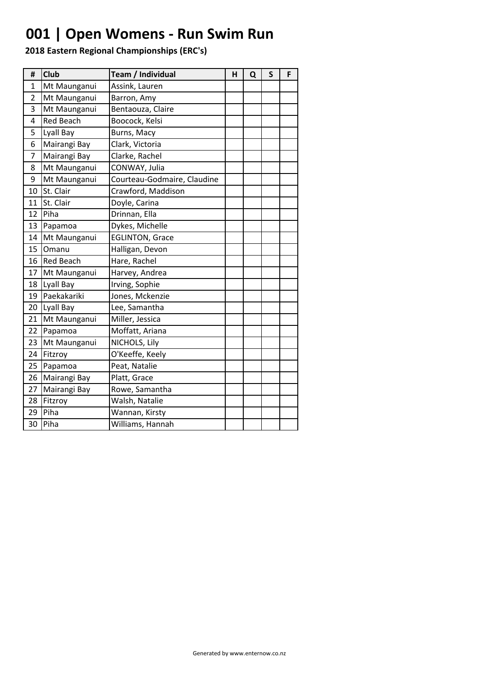### **001 | Open Womens - Run Swim Run**

| #              | Club             | Team / Individual           | н | Q | S | F |
|----------------|------------------|-----------------------------|---|---|---|---|
| 1              | Mt Maunganui     | Assink, Lauren              |   |   |   |   |
| $\overline{2}$ | Mt Maunganui     | Barron, Amy                 |   |   |   |   |
| 3              | Mt Maunganui     | Bentaouza, Claire           |   |   |   |   |
| 4              | <b>Red Beach</b> | Boocock, Kelsi              |   |   |   |   |
| 5              | Lyall Bay        | Burns, Macy                 |   |   |   |   |
| 6              | Mairangi Bay     | Clark, Victoria             |   |   |   |   |
| 7              | Mairangi Bay     | Clarke, Rachel              |   |   |   |   |
| 8              | Mt Maunganui     | CONWAY, Julia               |   |   |   |   |
| 9              | Mt Maunganui     | Courteau-Godmaire, Claudine |   |   |   |   |
| 10             | St. Clair        | Crawford, Maddison          |   |   |   |   |
| 11             | St. Clair        | Doyle, Carina               |   |   |   |   |
| 12             | Piha             | Drinnan, Ella               |   |   |   |   |
| 13             | Papamoa          | Dykes, Michelle             |   |   |   |   |
| 14             | Mt Maunganui     | <b>EGLINTON, Grace</b>      |   |   |   |   |
| 15             | Omanu            | Halligan, Devon             |   |   |   |   |
| 16             | <b>Red Beach</b> | Hare, Rachel                |   |   |   |   |
| 17             | Mt Maunganui     | Harvey, Andrea              |   |   |   |   |
| 18             | Lyall Bay        | Irving, Sophie              |   |   |   |   |
| 19             | Paekakariki      | Jones, Mckenzie             |   |   |   |   |
| 20             | Lyall Bay        | Lee, Samantha               |   |   |   |   |
| 21             | Mt Maunganui     | Miller, Jessica             |   |   |   |   |
| 22             | Papamoa          | Moffatt, Ariana             |   |   |   |   |
| 23             | Mt Maunganui     | NICHOLS, Lily               |   |   |   |   |
| 24             | Fitzroy          | O'Keeffe, Keely             |   |   |   |   |
| 25             | Papamoa          | Peat, Natalie               |   |   |   |   |
| 26             | Mairangi Bay     | Platt, Grace                |   |   |   |   |
| 27             | Mairangi Bay     | Rowe, Samantha              |   |   |   |   |
| 28             | Fitzroy          | Walsh, Natalie              |   |   |   |   |
| 29             | Piha             | Wannan, Kirsty              |   |   |   |   |
| 30             | Piha             | Williams, Hannah            |   |   |   |   |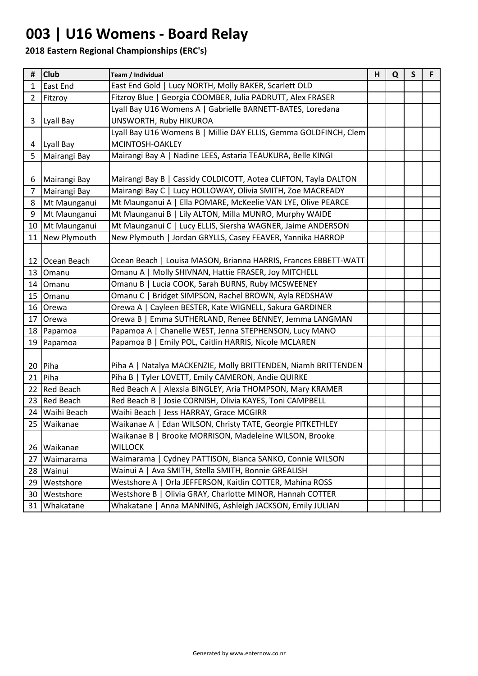### **003 | U16 Womens - Board Relay**

| #              | <b>Club</b>     | Team / Individual                                                |  | Q | $\mathsf{S}$ | F. |
|----------------|-----------------|------------------------------------------------------------------|--|---|--------------|----|
| $\mathbf{1}$   | <b>East End</b> | East End Gold   Lucy NORTH, Molly BAKER, Scarlett OLD            |  |   |              |    |
| $\mathbf{2}$   | Fitzroy         | Fitzroy Blue   Georgia COOMBER, Julia PADRUTT, Alex FRASER       |  |   |              |    |
|                |                 | Lyall Bay U16 Womens A   Gabrielle BARNETT-BATES, Loredana       |  |   |              |    |
| 3              | Lyall Bay       | UNSWORTH, Ruby HIKUROA                                           |  |   |              |    |
|                |                 | Lyall Bay U16 Womens B   Millie DAY ELLIS, Gemma GOLDFINCH, Clem |  |   |              |    |
|                | 4 Lyall Bay     | MCINTOSH-OAKLEY                                                  |  |   |              |    |
| 5              | Mairangi Bay    | Mairangi Bay A   Nadine LEES, Astaria TEAUKURA, Belle KINGI      |  |   |              |    |
|                |                 |                                                                  |  |   |              |    |
| 6              | Mairangi Bay    | Mairangi Bay B   Cassidy COLDICOTT, Aotea CLIFTON, Tayla DALTON  |  |   |              |    |
| $\overline{7}$ | Mairangi Bay    | Mairangi Bay C   Lucy HOLLOWAY, Olivia SMITH, Zoe MACREADY       |  |   |              |    |
| 8              | Mt Maunganui    | Mt Maunganui A   Ella POMARE, McKeelie VAN LYE, Olive PEARCE     |  |   |              |    |
| 9              | Mt Maunganui    | Mt Maunganui B   Lily ALTON, Milla MUNRO, Murphy WAIDE           |  |   |              |    |
|                | 10 Mt Maunganui | Mt Maunganui C   Lucy ELLIS, Siersha WAGNER, Jaime ANDERSON      |  |   |              |    |
|                | 11 New Plymouth | New Plymouth   Jordan GRYLLS, Casey FEAVER, Yannika HARROP       |  |   |              |    |
|                |                 |                                                                  |  |   |              |    |
|                | 12 Ocean Beach  | Ocean Beach   Louisa MASON, Brianna HARRIS, Frances EBBETT-WATT  |  |   |              |    |
| 13             | Omanu           | Omanu A   Molly SHIVNAN, Hattie FRASER, Joy MITCHELL             |  |   |              |    |
|                | 14 Omanu        | Omanu B   Lucia COOK, Sarah BURNS, Ruby MCSWEENEY                |  |   |              |    |
|                | 15 Omanu        | Omanu C   Bridget SIMPSON, Rachel BROWN, Ayla REDSHAW            |  |   |              |    |
|                | 16 Orewa        | Orewa A   Cayleen BESTER, Kate WIGNELL, Sakura GARDINER          |  |   |              |    |
| 17             | Orewa           | Orewa B   Emma SUTHERLAND, Renee BENNEY, Jemma LANGMAN           |  |   |              |    |
|                | 18 Papamoa      | Papamoa A   Chanelle WEST, Jenna STEPHENSON, Lucy MANO           |  |   |              |    |
|                | 19 Papamoa      | Papamoa B   Emily POL, Caitlin HARRIS, Nicole MCLAREN            |  |   |              |    |
|                |                 |                                                                  |  |   |              |    |
|                | 20 Piha         | Piha A   Natalya MACKENZIE, Molly BRITTENDEN, Niamh BRITTENDEN   |  |   |              |    |
| 21             | Piha            | Piha B   Tyler LOVETT, Emily CAMERON, Andie QUIRKE               |  |   |              |    |
|                | 22 Red Beach    | Red Beach A   Alexsia BINGLEY, Aria THOMPSON, Mary KRAMER        |  |   |              |    |
|                | 23 Red Beach    | Red Beach B   Josie CORNISH, Olivia KAYES, Toni CAMPBELL         |  |   |              |    |
|                | 24 Waihi Beach  | Waihi Beach   Jess HARRAY, Grace MCGIRR                          |  |   |              |    |
|                | 25 Waikanae     | Waikanae A   Edan WILSON, Christy TATE, Georgie PITKETHLEY       |  |   |              |    |
|                |                 | Waikanae B   Brooke MORRISON, Madeleine WILSON, Brooke           |  |   |              |    |
| 26             | Waikanae        | <b>WILLOCK</b>                                                   |  |   |              |    |
| 27             | Waimarama       | Waimarama   Cydney PATTISON, Bianca SANKO, Connie WILSON         |  |   |              |    |
| 28             | Wainui          | Wainui A   Ava SMITH, Stella SMITH, Bonnie GREALISH              |  |   |              |    |
| 29             | Westshore       | Westshore A   Orla JEFFERSON, Kaitlin COTTER, Mahina ROSS        |  |   |              |    |
| 30             | Westshore       | Olivia GRAY, Charlotte MINOR, Hannah COTTER<br>Westshore B       |  |   |              |    |
| 31             | Whakatane       | Whakatane   Anna MANNING, Ashleigh JACKSON, Emily JULIAN         |  |   |              |    |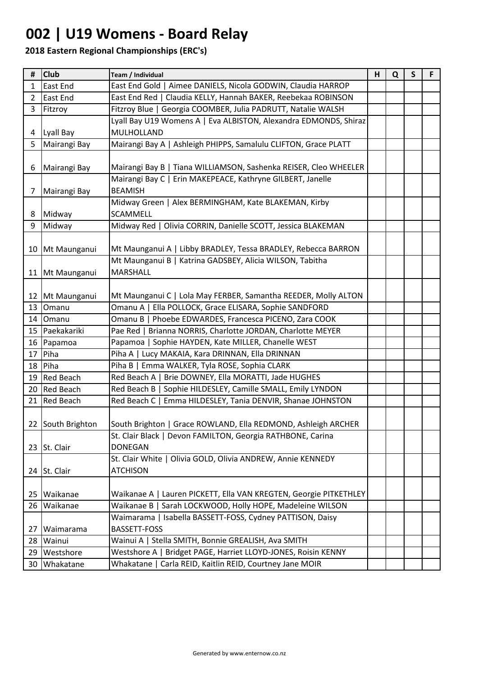### **002 | U19 Womens - Board Relay**

| #               | <b>Club</b>       | Team / Individual                                                 | H | Q | $\mathsf{S}$ | F |
|-----------------|-------------------|-------------------------------------------------------------------|---|---|--------------|---|
| $\mathbf{1}$    | East End          | East End Gold   Aimee DANIELS, Nicola GODWIN, Claudia HARROP      |   |   |              |   |
| $\overline{2}$  | <b>East End</b>   | East End Red   Claudia KELLY, Hannah BAKER, Reebekaa ROBINSON     |   |   |              |   |
| 3               | Fitzroy           | Fitzroy Blue   Georgia COOMBER, Julia PADRUTT, Natalie WALSH      |   |   |              |   |
|                 |                   | Lyall Bay U19 Womens A   Eva ALBISTON, Alexandra EDMONDS, Shiraz  |   |   |              |   |
| 4               | Lyall Bay         | MULHOLLAND                                                        |   |   |              |   |
| 5               | Mairangi Bay      | Mairangi Bay A   Ashleigh PHIPPS, Samalulu CLIFTON, Grace PLATT   |   |   |              |   |
|                 |                   |                                                                   |   |   |              |   |
| 6               | Mairangi Bay      | Mairangi Bay B   Tiana WILLIAMSON, Sashenka REISER, Cleo WHEELER  |   |   |              |   |
|                 |                   | Mairangi Bay C   Erin MAKEPEACE, Kathryne GILBERT, Janelle        |   |   |              |   |
| 7 <sup>1</sup>  | Mairangi Bay      | <b>BEAMISH</b>                                                    |   |   |              |   |
|                 |                   | Midway Green   Alex BERMINGHAM, Kate BLAKEMAN, Kirby              |   |   |              |   |
| 8               | Midway            | <b>SCAMMELL</b>                                                   |   |   |              |   |
| 9               | Midway            | Midway Red   Olivia CORRIN, Danielle SCOTT, Jessica BLAKEMAN      |   |   |              |   |
|                 |                   |                                                                   |   |   |              |   |
|                 | 10 Mt Maunganui   | Mt Maunganui A   Libby BRADLEY, Tessa BRADLEY, Rebecca BARRON     |   |   |              |   |
|                 |                   | Mt Maunganui B   Katrina GADSBEY, Alicia WILSON, Tabitha          |   |   |              |   |
|                 | 11 Mt Maunganui   | <b>MARSHALL</b>                                                   |   |   |              |   |
|                 |                   |                                                                   |   |   |              |   |
|                 | 12 Mt Maunganui   | Mt Maunganui C   Lola May FERBER, Samantha REEDER, Molly ALTON    |   |   |              |   |
| 13              | Omanu             | Omanu A   Ella POLLOCK, Grace ELISARA, Sophie SANDFORD            |   |   |              |   |
| 14              | Omanu             | Omanu B   Phoebe EDWARDES, Francesca PICENO, Zara COOK            |   |   |              |   |
|                 | 15 Paekakariki    | Pae Red   Brianna NORRIS, Charlotte JORDAN, Charlotte MEYER       |   |   |              |   |
|                 | 16 Papamoa        | Papamoa   Sophie HAYDEN, Kate MILLER, Chanelle WEST               |   |   |              |   |
| 17              | Piha              | Piha A   Lucy MAKAIA, Kara DRINNAN, Ella DRINNAN                  |   |   |              |   |
| 18              | Piha              | Piha B   Emma WALKER, Tyla ROSE, Sophia CLARK                     |   |   |              |   |
|                 | 19 Red Beach      | Red Beach A   Brie DOWNEY, Ella MORATTI, Jade HUGHES              |   |   |              |   |
|                 | 20 Red Beach      | Red Beach B   Sophie HILDESLEY, Camille SMALL, Emily LYNDON       |   |   |              |   |
|                 | 21 Red Beach      | Red Beach C   Emma HILDESLEY, Tania DENVIR, Shanae JOHNSTON       |   |   |              |   |
|                 |                   |                                                                   |   |   |              |   |
|                 | 22 South Brighton | South Brighton   Grace ROWLAND, Ella REDMOND, Ashleigh ARCHER     |   |   |              |   |
|                 |                   | St. Clair Black   Devon FAMILTON, Georgia RATHBONE, Carina        |   |   |              |   |
|                 | 23 St. Clair      | <b>DONEGAN</b>                                                    |   |   |              |   |
|                 |                   | St. Clair White   Olivia GOLD, Olivia ANDREW, Annie KENNEDY       |   |   |              |   |
|                 | 24 St. Clair      | <b>ATCHISON</b>                                                   |   |   |              |   |
|                 |                   |                                                                   |   |   |              |   |
| 25              | Waikanae          | Waikanae A   Lauren PICKETT, Ella VAN KREGTEN, Georgie PITKETHLEY |   |   |              |   |
| 26              | Waikanae          | Waikanae B   Sarah LOCKWOOD, Holly HOPE, Madeleine WILSON         |   |   |              |   |
|                 |                   | Waimarama   Isabella BASSETT-FOSS, Cydney PATTISON, Daisy         |   |   |              |   |
| 27              | Waimarama         | <b>BASSETT-FOSS</b>                                               |   |   |              |   |
| 28 <sub>1</sub> | Wainui            | Wainui A   Stella SMITH, Bonnie GREALISH, Ava SMITH               |   |   |              |   |
|                 | 29   Westshore    | Westshore A   Bridget PAGE, Harriet LLOYD-JONES, Roisin KENNY     |   |   |              |   |
|                 | 30 Whakatane      | Whakatane   Carla REID, Kaitlin REID, Courtney Jane MOIR          |   |   |              |   |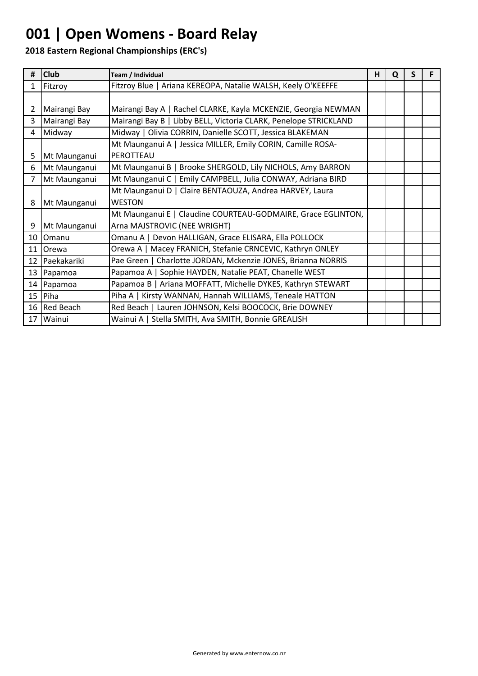### **001 | Open Womens - Board Relay**

| #                       | <b>Club</b>    | Team / Individual                                                | н | Q | S | F |
|-------------------------|----------------|------------------------------------------------------------------|---|---|---|---|
| $\mathbf{1}$            | Fitzroy        | Fitzroy Blue   Ariana KEREOPA, Natalie WALSH, Keely O'KEEFFE     |   |   |   |   |
|                         |                |                                                                  |   |   |   |   |
| $\mathbf{2}$            | Mairangi Bay   | Mairangi Bay A   Rachel CLARKE, Kayla MCKENZIE, Georgia NEWMAN   |   |   |   |   |
| $\overline{\mathbf{3}}$ | Mairangi Bay   | Mairangi Bay B   Libby BELL, Victoria CLARK, Penelope STRICKLAND |   |   |   |   |
| 4                       | Midway         | Midway   Olivia CORRIN, Danielle SCOTT, Jessica BLAKEMAN         |   |   |   |   |
|                         |                | Mt Maunganui A   Jessica MILLER, Emily CORIN, Camille ROSA-      |   |   |   |   |
| 5                       | Mt Maunganui   | PEROTTEAU                                                        |   |   |   |   |
| 6                       | Mt Maunganui   | Mt Maunganui B   Brooke SHERGOLD, Lily NICHOLS, Amy BARRON       |   |   |   |   |
| $\overline{7}$          | Mt Maunganui   | Mt Maunganui C   Emily CAMPBELL, Julia CONWAY, Adriana BIRD      |   |   |   |   |
|                         |                | Mt Maunganui D   Claire BENTAOUZA, Andrea HARVEY, Laura          |   |   |   |   |
| 8                       | Mt Maunganui   | <b>WESTON</b>                                                    |   |   |   |   |
|                         |                | Mt Maunganui E   Claudine COURTEAU-GODMAIRE, Grace EGLINTON,     |   |   |   |   |
| 9                       | Mt Maunganui   | Arna MAJSTROVIC (NEE WRIGHT)                                     |   |   |   |   |
|                         | 10 Omanu       | Omanu A   Devon HALLIGAN, Grace ELISARA, Ella POLLOCK            |   |   |   |   |
|                         | 11 Orewa       | Orewa A   Macey FRANICH, Stefanie CRNCEVIC, Kathryn ONLEY        |   |   |   |   |
|                         | 12 Paekakariki | Pae Green   Charlotte JORDAN, Mckenzie JONES, Brianna NORRIS     |   |   |   |   |
|                         | 13 Papamoa     | Papamoa A   Sophie HAYDEN, Natalie PEAT, Chanelle WEST           |   |   |   |   |
|                         | 14 Papamoa     | Papamoa B   Ariana MOFFATT, Michelle DYKES, Kathryn STEWART      |   |   |   |   |
|                         | $15$ Piha      | Piha A   Kirsty WANNAN, Hannah WILLIAMS, Teneale HATTON          |   |   |   |   |
|                         | 16 Red Beach   | Red Beach   Lauren JOHNSON, Kelsi BOOCOCK, Brie DOWNEY           |   |   |   |   |
| 17                      | Wainui         | Wainui A   Stella SMITH, Ava SMITH, Bonnie GREALISH              |   |   |   |   |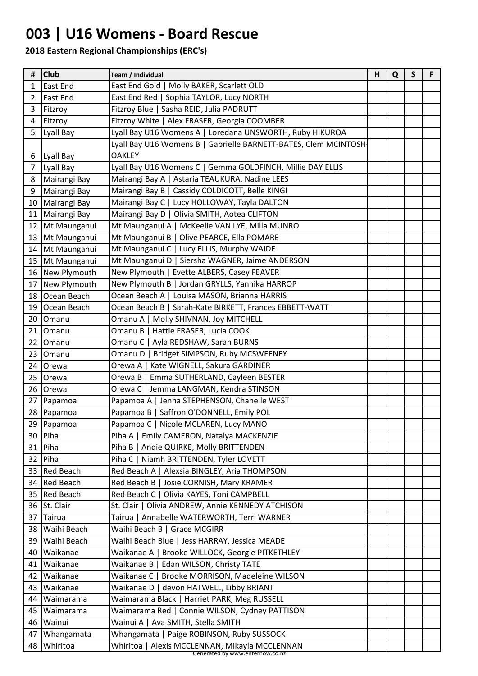### **003 | U16 Womens - Board Rescue**

| #              | <b>Club</b>       | Team / Individual                                                                 | н | Q | S | F |
|----------------|-------------------|-----------------------------------------------------------------------------------|---|---|---|---|
| 1              | <b>East End</b>   | East End Gold   Molly BAKER, Scarlett OLD                                         |   |   |   |   |
| $\overline{2}$ | <b>East End</b>   | East End Red   Sophia TAYLOR, Lucy NORTH                                          |   |   |   |   |
| 3              | Fitzroy           | Fitzroy Blue   Sasha REID, Julia PADRUTT                                          |   |   |   |   |
| 4              | Fitzroy           | Fitzroy White   Alex FRASER, Georgia COOMBER                                      |   |   |   |   |
| 5              | Lyall Bay         | Lyall Bay U16 Womens A   Loredana UNSWORTH, Ruby HIKUROA                          |   |   |   |   |
|                |                   | Lyall Bay U16 Womens B   Gabrielle BARNETT-BATES, Clem MCINTOSH-                  |   |   |   |   |
| 6              | Lyall Bay         | <b>OAKLEY</b>                                                                     |   |   |   |   |
| $\overline{7}$ | Lyall Bay         | Lyall Bay U16 Womens C   Gemma GOLDFINCH, Millie DAY ELLIS                        |   |   |   |   |
|                | 8 Mairangi Bay    | Mairangi Bay A   Astaria TEAUKURA, Nadine LEES                                    |   |   |   |   |
| 9              | Mairangi Bay      | Mairangi Bay B   Cassidy COLDICOTT, Belle KINGI                                   |   |   |   |   |
|                | 10 Mairangi Bay   | Mairangi Bay C   Lucy HOLLOWAY, Tayla DALTON                                      |   |   |   |   |
|                | 11   Mairangi Bay | Mairangi Bay D   Olivia SMITH, Aotea CLIFTON                                      |   |   |   |   |
|                | 12 Mt Maunganui   | Mt Maunganui A   McKeelie VAN LYE, Milla MUNRO                                    |   |   |   |   |
|                | 13 Mt Maunganui   | Mt Maunganui B   Olive PEARCE, Ella POMARE                                        |   |   |   |   |
|                | 14 Mt Maunganui   | Mt Maunganui C   Lucy ELLIS, Murphy WAIDE                                         |   |   |   |   |
|                | 15 Mt Maunganui   | Mt Maunganui D   Siersha WAGNER, Jaime ANDERSON                                   |   |   |   |   |
|                | 16 New Plymouth   | New Plymouth   Evette ALBERS, Casey FEAVER                                        |   |   |   |   |
|                | 17 New Plymouth   | New Plymouth B   Jordan GRYLLS, Yannika HARROP                                    |   |   |   |   |
|                | 18 Ocean Beach    | Ocean Beach A   Louisa MASON, Brianna HARRIS                                      |   |   |   |   |
|                | 19 Ocean Beach    | Ocean Beach B   Sarah-Kate BIRKETT, Frances EBBETT-WATT                           |   |   |   |   |
|                | 20 Omanu          | Omanu A   Molly SHIVNAN, Joy MITCHELL                                             |   |   |   |   |
|                | 21 Omanu          | Omanu B   Hattie FRASER, Lucia COOK                                               |   |   |   |   |
|                | 22 Omanu          | Omanu C   Ayla REDSHAW, Sarah BURNS                                               |   |   |   |   |
| 23             | Omanu             | Omanu D   Bridget SIMPSON, Ruby MCSWEENEY                                         |   |   |   |   |
| 24             | Orewa             | Orewa A   Kate WIGNELL, Sakura GARDINER                                           |   |   |   |   |
| 25             | Orewa             | Orewa B   Emma SUTHERLAND, Cayleen BESTER                                         |   |   |   |   |
|                | 26 Orewa          | Orewa C   Jemma LANGMAN, Kendra STINSON                                           |   |   |   |   |
|                | 27 Papamoa        | Papamoa A   Jenna STEPHENSON, Chanelle WEST                                       |   |   |   |   |
|                | 28 Papamoa        | Papamoa B   Saffron O'DONNELL, Emily POL                                          |   |   |   |   |
|                | 29 Papamoa        | Papamoa C   Nicole MCLAREN, Lucy MANO                                             |   |   |   |   |
|                | 30   Piha         | Piha A   Emily CAMERON, Natalya MACKENZIE                                         |   |   |   |   |
|                | 31 Piha           | Piha B   Andie QUIRKE, Molly BRITTENDEN                                           |   |   |   |   |
|                | 32 Piha           | Piha C   Niamh BRITTENDEN, Tyler LOVETT                                           |   |   |   |   |
|                | 33 Red Beach      | Red Beach A   Alexsia BINGLEY, Aria THOMPSON                                      |   |   |   |   |
|                | 34 Red Beach      | Red Beach B   Josie CORNISH, Mary KRAMER                                          |   |   |   |   |
|                | 35 Red Beach      | Red Beach C   Olivia KAYES, Toni CAMPBELL                                         |   |   |   |   |
|                | 36 St. Clair      | St. Clair   Olivia ANDREW, Annie KENNEDY ATCHISON                                 |   |   |   |   |
|                | 37 Tairua         | Tairua   Annabelle WATERWORTH, Terri WARNER                                       |   |   |   |   |
|                | 38 Waihi Beach    | Waihi Beach B   Grace MCGIRR                                                      |   |   |   |   |
|                | 39 Waihi Beach    | Waihi Beach Blue   Jess HARRAY, Jessica MEADE                                     |   |   |   |   |
| 40             | Waikanae          | Waikanae A   Brooke WILLOCK, Georgie PITKETHLEY                                   |   |   |   |   |
|                | 41   Waikanae     | Waikanae B   Edan WILSON, Christy TATE                                            |   |   |   |   |
| 42             | Waikanae          | Waikanae C   Brooke MORRISON, Madeleine WILSON                                    |   |   |   |   |
|                | 43   Waikanae     | Waikanae D   devon HATWELL, Libby BRIANT                                          |   |   |   |   |
| 44             | Waimarama         | Waimarama Black   Harriet PARK, Meg RUSSELL                                       |   |   |   |   |
| 45             | Waimarama         | Waimarama Red   Connie WILSON, Cydney PATTISON                                    |   |   |   |   |
|                | 46 Wainui         | Wainui A   Ava SMITH, Stella SMITH                                                |   |   |   |   |
| 47             | Whangamata        | Whangamata   Paige ROBINSON, Ruby SUSSOCK                                         |   |   |   |   |
|                | 48 Whiritoa       | Whiritoa   Alexis MCCLENNAN, Mikayla MCCLENNAN<br>Generated by www.enternow.co.nz |   |   |   |   |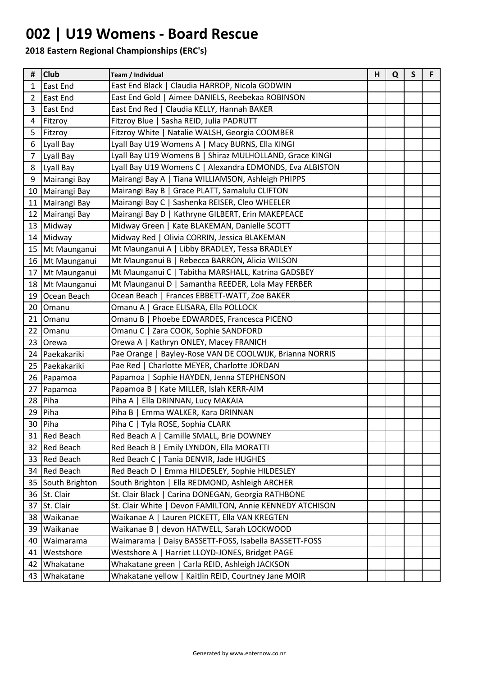### **002 | U19 Womens - Board Rescue**

| #              | <b>Club</b>       | Team / Individual                                         | н | Q | S | F |
|----------------|-------------------|-----------------------------------------------------------|---|---|---|---|
| 1              | <b>East End</b>   | East End Black   Claudia HARROP, Nicola GODWIN            |   |   |   |   |
| $\overline{2}$ | <b>East End</b>   | East End Gold   Aimee DANIELS, Reebekaa ROBINSON          |   |   |   |   |
| 3              | East End          | East End Red   Claudia KELLY, Hannah BAKER                |   |   |   |   |
| 4              | Fitzroy           | Fitzroy Blue   Sasha REID, Julia PADRUTT                  |   |   |   |   |
| 5              | Fitzroy           | Fitzroy White   Natalie WALSH, Georgia COOMBER            |   |   |   |   |
| 6              | Lyall Bay         | Lyall Bay U19 Womens A   Macy BURNS, Ella KINGI           |   |   |   |   |
| $\overline{7}$ | Lyall Bay         | Lyall Bay U19 Womens B   Shiraz MULHOLLAND, Grace KINGI   |   |   |   |   |
| 8              | Lyall Bay         | Lyall Bay U19 Womens C   Alexandra EDMONDS, Eva ALBISTON  |   |   |   |   |
| 9              | Mairangi Bay      | Mairangi Bay A   Tiana WILLIAMSON, Ashleigh PHIPPS        |   |   |   |   |
|                | 10 Mairangi Bay   | Mairangi Bay B   Grace PLATT, Samalulu CLIFTON            |   |   |   |   |
|                | 11 Mairangi Bay   | Mairangi Bay C   Sashenka REISER, Cleo WHEELER            |   |   |   |   |
|                | 12 Mairangi Bay   | Mairangi Bay D   Kathryne GILBERT, Erin MAKEPEACE         |   |   |   |   |
|                | 13 Midway         | Midway Green   Kate BLAKEMAN, Danielle SCOTT              |   |   |   |   |
|                | 14 Midway         | Midway Red   Olivia CORRIN, Jessica BLAKEMAN              |   |   |   |   |
|                | 15 Mt Maunganui   | Mt Maunganui A   Libby BRADLEY, Tessa BRADLEY             |   |   |   |   |
|                | 16 Mt Maunganui   | Mt Maunganui B   Rebecca BARRON, Alicia WILSON            |   |   |   |   |
| 17             | Mt Maunganui      | Mt Maunganui C   Tabitha MARSHALL, Katrina GADSBEY        |   |   |   |   |
|                | 18 Mt Maunganui   | Mt Maunganui D   Samantha REEDER, Lola May FERBER         |   |   |   |   |
|                | 19 Ocean Beach    | Ocean Beach   Frances EBBETT-WATT, Zoe BAKER              |   |   |   |   |
| 20             | Omanu             | Omanu A   Grace ELISARA, Ella POLLOCK                     |   |   |   |   |
| 21             | Omanu             | Omanu B   Phoebe EDWARDES, Francesca PICENO               |   |   |   |   |
| 22             | Omanu             | Omanu C   Zara COOK, Sophie SANDFORD                      |   |   |   |   |
|                | 23 Orewa          | Orewa A   Kathryn ONLEY, Macey FRANICH                    |   |   |   |   |
|                | 24 Paekakariki    | Pae Orange   Bayley-Rose VAN DE COOLWIJK, Brianna NORRIS  |   |   |   |   |
| 25             | Paekakariki       | Pae Red   Charlotte MEYER, Charlotte JORDAN               |   |   |   |   |
|                | 26 Papamoa        | Papamoa   Sophie HAYDEN, Jenna STEPHENSON                 |   |   |   |   |
|                | 27 Papamoa        | Papamoa B   Kate MILLER, Islah KERR-AIM                   |   |   |   |   |
|                | 28 Piha           | Piha A   Ella DRINNAN, Lucy MAKAIA                        |   |   |   |   |
| 29             | Piha              | Piha B   Emma WALKER, Kara DRINNAN                        |   |   |   |   |
|                | 30 Piha           | Piha C   Tyla ROSE, Sophia CLARK                          |   |   |   |   |
|                | 31 Red Beach      | Red Beach A   Camille SMALL, Brie DOWNEY                  |   |   |   |   |
|                | 32 Red Beach      | Red Beach B   Emily LYNDON, Ella MORATTI                  |   |   |   |   |
|                | 33 Red Beach      | Red Beach C   Tania DENVIR, Jade HUGHES                   |   |   |   |   |
|                | 34 Red Beach      | Red Beach D   Emma HILDESLEY, Sophie HILDESLEY            |   |   |   |   |
|                | 35 South Brighton | South Brighton   Ella REDMOND, Ashleigh ARCHER            |   |   |   |   |
|                | 36 St. Clair      | St. Clair Black   Carina DONEGAN, Georgia RATHBONE        |   |   |   |   |
| 37             | St. Clair         | Devon FAMILTON, Annie KENNEDY ATCHISON<br>St. Clair White |   |   |   |   |
|                | 38   Waikanae     | Waikanae A   Lauren PICKETT, Ella VAN KREGTEN             |   |   |   |   |
| 39             | Waikanae          | Waikanae B  <br>devon HATWELL, Sarah LOCKWOOD             |   |   |   |   |
| 40             | Waimarama         | Daisy BASSETT-FOSS, Isabella BASSETT-FOSS<br>Waimarama    |   |   |   |   |
| 41             | Westshore         | Westshore A   Harriet LLOYD-JONES, Bridget PAGE           |   |   |   |   |
| 42             | Whakatane         | Whakatane green   Carla REID, Ashleigh JACKSON            |   |   |   |   |
| 43             | Whakatane         | Whakatane yellow   Kaitlin REID, Courtney Jane MOIR       |   |   |   |   |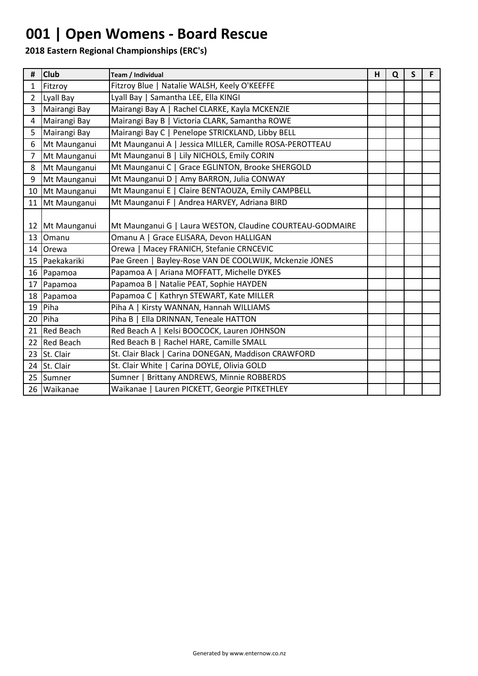### **001 | Open Womens - Board Rescue**

| #              | <b>Club</b>     | Team / Individual                                         | H | Q | S | F |
|----------------|-----------------|-----------------------------------------------------------|---|---|---|---|
| 1              | Fitzroy         | Fitzroy Blue   Natalie WALSH, Keely O'KEEFFE              |   |   |   |   |
| $\overline{2}$ | Lyall Bay       | Lyall Bay   Samantha LEE, Ella KINGI                      |   |   |   |   |
| $\overline{3}$ | Mairangi Bay    | Mairangi Bay A   Rachel CLARKE, Kayla MCKENZIE            |   |   |   |   |
| 4              | Mairangi Bay    | Mairangi Bay B   Victoria CLARK, Samantha ROWE            |   |   |   |   |
| 5              | Mairangi Bay    | Mairangi Bay C   Penelope STRICKLAND, Libby BELL          |   |   |   |   |
| 6              | Mt Maunganui    | Mt Maunganui A   Jessica MILLER, Camille ROSA-PEROTTEAU   |   |   |   |   |
| $\overline{7}$ | Mt Maunganui    | Mt Maunganui B   Lily NICHOLS, Emily CORIN                |   |   |   |   |
| 8              | Mt Maunganui    | Mt Maunganui C   Grace EGLINTON, Brooke SHERGOLD          |   |   |   |   |
| 9              | Mt Maunganui    | Mt Maunganui D   Amy BARRON, Julia CONWAY                 |   |   |   |   |
|                | 10 Mt Maunganui | Mt Maunganui E   Claire BENTAOUZA, Emily CAMPBELL         |   |   |   |   |
| 11             | Mt Maunganui    | Mt Maunganui F   Andrea HARVEY, Adriana BIRD              |   |   |   |   |
|                | 12 Mt Maunganui | Mt Maunganui G   Laura WESTON, Claudine COURTEAU-GODMAIRE |   |   |   |   |
| 13             | Omanu           | Omanu A   Grace ELISARA, Devon HALLIGAN                   |   |   |   |   |
|                | 14 Orewa        | Orewa   Macey FRANICH, Stefanie CRNCEVIC                  |   |   |   |   |
|                | 15 Paekakariki  | Pae Green   Bayley-Rose VAN DE COOLWIJK, Mckenzie JONES   |   |   |   |   |
|                | 16 Papamoa      | Papamoa A   Ariana MOFFATT, Michelle DYKES                |   |   |   |   |
|                | 17 Papamoa      | Papamoa B   Natalie PEAT, Sophie HAYDEN                   |   |   |   |   |
|                | 18 Papamoa      | Papamoa C   Kathryn STEWART, Kate MILLER                  |   |   |   |   |
|                | $19$ Piha       | Piha A   Kirsty WANNAN, Hannah WILLIAMS                   |   |   |   |   |
|                | 20 Piha         | Piha B   Ella DRINNAN, Teneale HATTON                     |   |   |   |   |
|                | 21 Red Beach    | Red Beach A   Kelsi BOOCOCK, Lauren JOHNSON               |   |   |   |   |
|                | 22 Red Beach    | Red Beach B   Rachel HARE, Camille SMALL                  |   |   |   |   |
| 23             | St. Clair       | St. Clair Black   Carina DONEGAN, Maddison CRAWFORD       |   |   |   |   |
|                | 24 St. Clair    | St. Clair White   Carina DOYLE, Olivia GOLD               |   |   |   |   |
| 25             | Sumner          | Sumner   Brittany ANDREWS, Minnie ROBBERDS                |   |   |   |   |
| 26             | Waikanae        | Waikanae   Lauren PICKETT, Georgie PITKETHLEY             |   |   |   |   |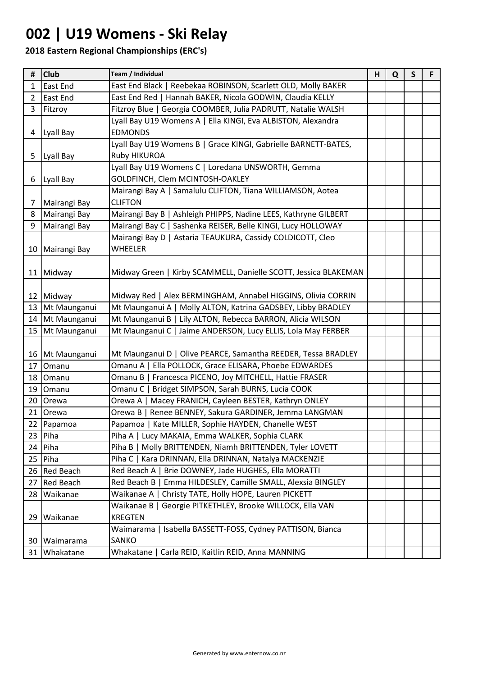### **002 | U19 Womens - Ski Relay**

| #              | <b>Club</b>      | Team / Individual                                               | H | Q | $\mathsf{S}$ | F |
|----------------|------------------|-----------------------------------------------------------------|---|---|--------------|---|
| 1              | <b>East End</b>  | East End Black   Reebekaa ROBINSON, Scarlett OLD, Molly BAKER   |   |   |              |   |
| $\overline{2}$ | <b>East End</b>  | East End Red   Hannah BAKER, Nicola GODWIN, Claudia KELLY       |   |   |              |   |
| 3              | Fitzroy          | Fitzroy Blue   Georgia COOMBER, Julia PADRUTT, Natalie WALSH    |   |   |              |   |
|                |                  | Lyall Bay U19 Womens A   Ella KINGI, Eva ALBISTON, Alexandra    |   |   |              |   |
| 4              | Lyall Bay        | <b>EDMONDS</b>                                                  |   |   |              |   |
|                |                  | Lyall Bay U19 Womens B   Grace KINGI, Gabrielle BARNETT-BATES,  |   |   |              |   |
| 5              | Lyall Bay        | Ruby HIKUROA                                                    |   |   |              |   |
|                |                  | Lyall Bay U19 Womens C   Loredana UNSWORTH, Gemma               |   |   |              |   |
| 6              | Lyall Bay        | GOLDFINCH, Clem MCINTOSH-OAKLEY                                 |   |   |              |   |
|                |                  | Mairangi Bay A   Samalulu CLIFTON, Tiana WILLIAMSON, Aotea      |   |   |              |   |
| 7              | Mairangi Bay     | <b>CLIFTON</b>                                                  |   |   |              |   |
| 8              | Mairangi Bay     | Mairangi Bay B   Ashleigh PHIPPS, Nadine LEES, Kathryne GILBERT |   |   |              |   |
| 9              | Mairangi Bay     | Mairangi Bay C   Sashenka REISER, Belle KINGI, Lucy HOLLOWAY    |   |   |              |   |
|                |                  | Mairangi Bay D   Astaria TEAUKURA, Cassidy COLDICOTT, Cleo      |   |   |              |   |
|                | 10 Mairangi Bay  | WHEELER                                                         |   |   |              |   |
|                |                  |                                                                 |   |   |              |   |
|                | 11 Midway        | Midway Green   Kirby SCAMMELL, Danielle SCOTT, Jessica BLAKEMAN |   |   |              |   |
|                |                  |                                                                 |   |   |              |   |
|                | 12 Midway        | Midway Red   Alex BERMINGHAM, Annabel HIGGINS, Olivia CORRIN    |   |   |              |   |
| 13             | Mt Maunganui     | Mt Maunganui A   Molly ALTON, Katrina GADSBEY, Libby BRADLEY    |   |   |              |   |
| 14             | Mt Maunganui     | Mt Maunganui B   Lily ALTON, Rebecca BARRON, Alicia WILSON      |   |   |              |   |
|                | 15 Mt Maunganui  | Mt Maunganui C   Jaime ANDERSON, Lucy ELLIS, Lola May FERBER    |   |   |              |   |
|                |                  |                                                                 |   |   |              |   |
|                | 16 Mt Maunganui  | Mt Maunganui D   Olive PEARCE, Samantha REEDER, Tessa BRADLEY   |   |   |              |   |
| 17             | Omanu            | Omanu A  <br>Ella POLLOCK, Grace ELISARA, Phoebe EDWARDES       |   |   |              |   |
| 18             | Omanu            | Omanu B   Francesca PICENO, Joy MITCHELL, Hattie FRASER         |   |   |              |   |
| 19             | Omanu            | Omanu C   Bridget SIMPSON, Sarah BURNS, Lucia COOK              |   |   |              |   |
|                | 20 Orewa         | Macey FRANICH, Cayleen BESTER, Kathryn ONLEY<br>Orewa A         |   |   |              |   |
| 21             | Orewa            | Orewa B   Renee BENNEY, Sakura GARDINER, Jemma LANGMAN          |   |   |              |   |
|                | 22 Papamoa       | Papamoa   Kate MILLER, Sophie HAYDEN, Chanelle WEST             |   |   |              |   |
| 23             | Piha             | Piha A   Lucy MAKAIA, Emma WALKER, Sophia CLARK                 |   |   |              |   |
| 24             | Piha             | Piha B   Molly BRITTENDEN, Niamh BRITTENDEN, Tyler LOVETT       |   |   |              |   |
| 25             | Piha             | Piha C   Kara DRINNAN, Ella DRINNAN, Natalya MACKENZIE          |   |   |              |   |
|                | 26 Red Beach     | Red Beach A   Brie DOWNEY, Jade HUGHES, Ella MORATTI            |   |   |              |   |
| 27             | <b>Red Beach</b> | Red Beach B   Emma HILDESLEY, Camille SMALL, Alexsia BINGLEY    |   |   |              |   |
| 28             | Waikanae         | Waikanae A   Christy TATE, Holly HOPE, Lauren PICKETT           |   |   |              |   |
|                |                  | Waikanae B   Georgie PITKETHLEY, Brooke WILLOCK, Ella VAN       |   |   |              |   |
| 29             | Waikanae         | <b>KREGTEN</b>                                                  |   |   |              |   |
|                |                  | Waimarama   Isabella BASSETT-FOSS, Cydney PATTISON, Bianca      |   |   |              |   |
|                | 30 Waimarama     | SANKO                                                           |   |   |              |   |
| 31             | Whakatane        | Whakatane  <br>Carla REID, Kaitlin REID, Anna MANNING           |   |   |              |   |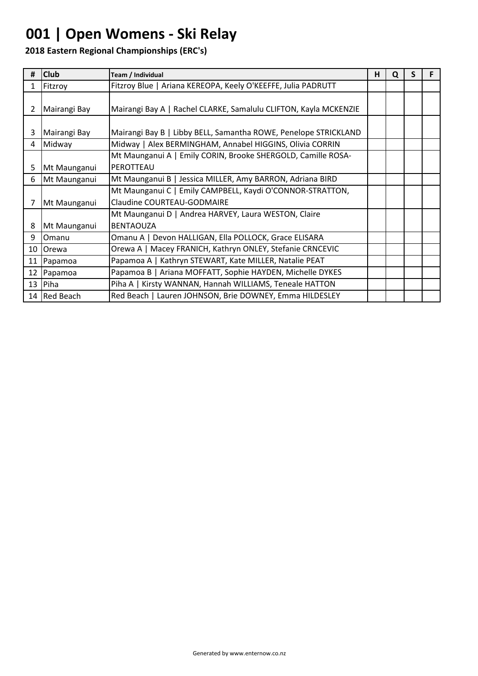### **001 | Open Womens - Ski Relay**

| #            | <b>Club</b>  | Team / Individual                                                | н | Q | S |  |
|--------------|--------------|------------------------------------------------------------------|---|---|---|--|
| $\mathbf{1}$ | Fitzroy      | Fitzroy Blue   Ariana KEREOPA, Keely O'KEEFFE, Julia PADRUTT     |   |   |   |  |
|              |              |                                                                  |   |   |   |  |
| $\mathbf{2}$ | Mairangi Bay | Mairangi Bay A   Rachel CLARKE, Samalulu CLIFTON, Kayla MCKENZIE |   |   |   |  |
|              |              |                                                                  |   |   |   |  |
| 3            | Mairangi Bay | Mairangi Bay B   Libby BELL, Samantha ROWE, Penelope STRICKLAND  |   |   |   |  |
| 4            | Midway       | Midway   Alex BERMINGHAM, Annabel HIGGINS, Olivia CORRIN         |   |   |   |  |
|              |              | Mt Maunganui A   Emily CORIN, Brooke SHERGOLD, Camille ROSA-     |   |   |   |  |
| 5            | Mt Maunganui | PEROTTEAU                                                        |   |   |   |  |
| 6            | Mt Maunganui | Mt Maunganui B   Jessica MILLER, Amy BARRON, Adriana BIRD        |   |   |   |  |
|              |              | Mt Maunganui C   Emily CAMPBELL, Kaydi O'CONNOR-STRATTON,        |   |   |   |  |
| 7            | Mt Maunganui | <b>Claudine COURTEAU-GODMAIRE</b>                                |   |   |   |  |
|              |              | Mt Maunganui D   Andrea HARVEY, Laura WESTON, Claire             |   |   |   |  |
| 8            | Mt Maunganui | <b>BENTAOUZA</b>                                                 |   |   |   |  |
| 9            | Omanu        | Omanu A   Devon HALLIGAN, Ella POLLOCK, Grace ELISARA            |   |   |   |  |
| 10           | <b>Orewa</b> | Orewa A   Macey FRANICH, Kathryn ONLEY, Stefanie CRNCEVIC        |   |   |   |  |
| 11           | Papamoa      | Papamoa A   Kathryn STEWART, Kate MILLER, Natalie PEAT           |   |   |   |  |
| 12           | Papamoa      | Papamoa B   Ariana MOFFATT, Sophie HAYDEN, Michelle DYKES        |   |   |   |  |
|              | $13$   Piha  | Piha A   Kirsty WANNAN, Hannah WILLIAMS, Teneale HATTON          |   |   |   |  |
|              | 14 Red Beach | Red Beach   Lauren JOHNSON, Brie DOWNEY, Emma HILDESLEY          |   |   |   |  |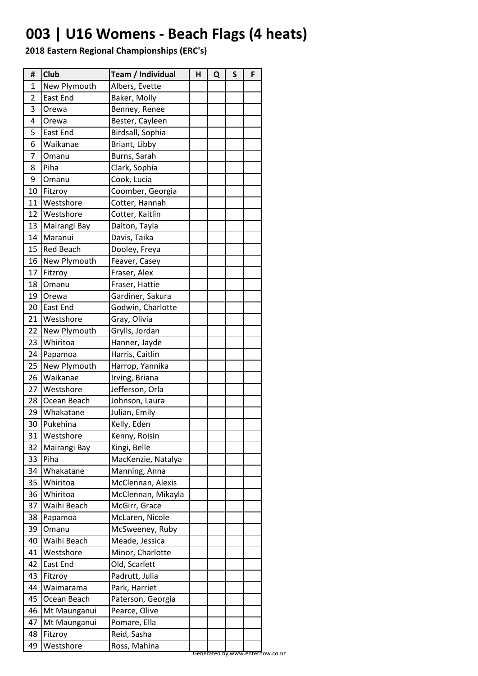## **003 | U16 Womens - Beach Flags (4 heats)**

| #  | Club             | Team / Individual  | н | Q | $\mathsf{s}$ | F |
|----|------------------|--------------------|---|---|--------------|---|
| 1  | New Plymouth     | Albers, Evette     |   |   |              |   |
| 2  | East End         | Baker, Molly       |   |   |              |   |
| 3  | Orewa            | Benney, Renee      |   |   |              |   |
| 4  | Orewa            | Bester, Cayleen    |   |   |              |   |
| 5  | East End         | Birdsall, Sophia   |   |   |              |   |
| 6  | Waikanae         | Briant, Libby      |   |   |              |   |
| 7  | Omanu            | Burns, Sarah       |   |   |              |   |
| 8  | Piha             | Clark, Sophia      |   |   |              |   |
| 9  | Omanu            | Cook, Lucia        |   |   |              |   |
| 10 | Fitzroy          | Coomber, Georgia   |   |   |              |   |
| 11 | Westshore        | Cotter, Hannah     |   |   |              |   |
| 12 | Westshore        | Cotter, Kaitlin    |   |   |              |   |
| 13 | Mairangi Bay     | Dalton, Tayla      |   |   |              |   |
| 14 | Maranui          | Davis, Taika       |   |   |              |   |
| 15 | <b>Red Beach</b> | Dooley, Freya      |   |   |              |   |
| 16 | New Plymouth     | Feaver, Casey      |   |   |              |   |
| 17 | Fitzroy          | Fraser, Alex       |   |   |              |   |
| 18 | Omanu            | Fraser, Hattie     |   |   |              |   |
| 19 | Orewa            | Gardiner, Sakura   |   |   |              |   |
| 20 | East End         | Godwin, Charlotte  |   |   |              |   |
| 21 | Westshore        | Gray, Olivia       |   |   |              |   |
| 22 | New Plymouth     | Grylls, Jordan     |   |   |              |   |
| 23 | Whiritoa         | Hanner, Jayde      |   |   |              |   |
| 24 | Papamoa          | Harris, Caitlin    |   |   |              |   |
| 25 | New Plymouth     | Harrop, Yannika    |   |   |              |   |
| 26 | Waikanae         | Irving, Briana     |   |   |              |   |
| 27 | Westshore        | Jefferson, Orla    |   |   |              |   |
| 28 | Ocean Beach      | Johnson, Laura     |   |   |              |   |
| 29 | Whakatane        | Julian, Emily      |   |   |              |   |
| 30 | Pukehina         | Kelly, Eden        |   |   |              |   |
| 31 | Westshore        | Kenny, Roisin      |   |   |              |   |
| 32 | Mairangi Bay     | Kingi, Belle       |   |   |              |   |
| 33 | Piha             | MacKenzie, Natalya |   |   |              |   |
| 34 | Whakatane        | Manning, Anna      |   |   |              |   |
| 35 | Whiritoa         | McClennan, Alexis  |   |   |              |   |
| 36 | Whiritoa         | McClennan, Mikayla |   |   |              |   |
| 37 | Waihi Beach      | McGirr, Grace      |   |   |              |   |
| 38 | Papamoa          | McLaren, Nicole    |   |   |              |   |
| 39 | Omanu            | McSweeney, Ruby    |   |   |              |   |
| 40 | Waihi Beach      | Meade, Jessica     |   |   |              |   |
| 41 | Westshore        | Minor, Charlotte   |   |   |              |   |
| 42 | East End         | Old, Scarlett      |   |   |              |   |
| 43 | Fitzroy          | Padrutt, Julia     |   |   |              |   |
| 44 | Waimarama        | Park, Harriet      |   |   |              |   |
| 45 | Ocean Beach      | Paterson, Georgia  |   |   |              |   |
| 46 | Mt Maunganui     | Pearce, Olive      |   |   |              |   |
| 47 | Mt Maunganui     | Pomare, Ella       |   |   |              |   |
| 48 | Fitzroy          | Reid, Sasha        |   |   |              |   |
|    |                  |                    |   |   |              |   |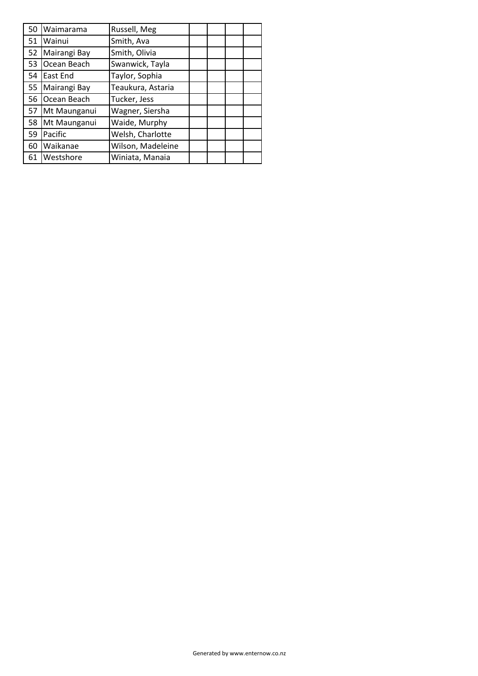| 50 | Waimarama    | Russell, Meg      |  |  |
|----|--------------|-------------------|--|--|
| 51 | Wainui       | Smith, Ava        |  |  |
| 52 | Mairangi Bay | Smith, Olivia     |  |  |
| 53 | Ocean Beach  | Swanwick, Tayla   |  |  |
| 54 | East End     | Taylor, Sophia    |  |  |
| 55 | Mairangi Bay | Teaukura, Astaria |  |  |
| 56 | Ocean Beach  | Tucker, Jess      |  |  |
| 57 | Mt Maunganui | Wagner, Siersha   |  |  |
| 58 | Mt Maunganui | Waide, Murphy     |  |  |
| 59 | Pacific      | Welsh, Charlotte  |  |  |
| 60 | Waikanae     | Wilson, Madeleine |  |  |
| 61 | Westshore    | Winiata, Manaia   |  |  |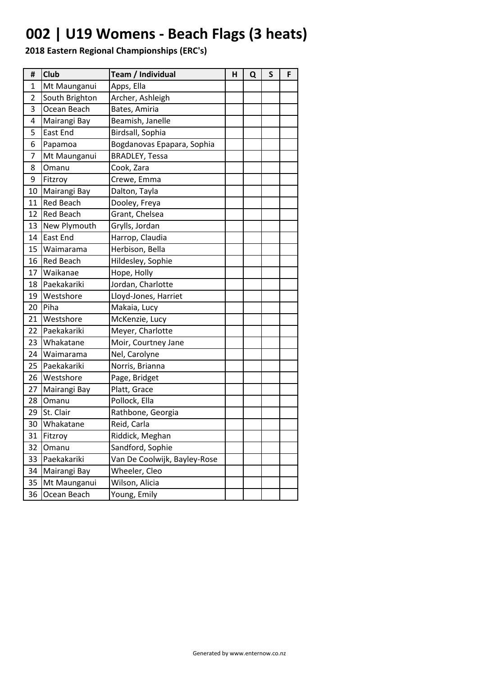# **002 | U19 Womens - Beach Flags (3 heats)**

| #            | <b>Club</b>      | Team / Individual            | н | Q | S | F |
|--------------|------------------|------------------------------|---|---|---|---|
| $\mathbf{1}$ | Mt Maunganui     | Apps, Ella                   |   |   |   |   |
| 2            | South Brighton   | Archer, Ashleigh             |   |   |   |   |
| 3            | Ocean Beach      | Bates, Amiria                |   |   |   |   |
| 4            | Mairangi Bay     | Beamish, Janelle             |   |   |   |   |
| 5            | East End         | Birdsall, Sophia             |   |   |   |   |
| 6            | Papamoa          | Bogdanovas Epapara, Sophia   |   |   |   |   |
| 7            | Mt Maunganui     | <b>BRADLEY, Tessa</b>        |   |   |   |   |
| 8            | Omanu            | Cook, Zara                   |   |   |   |   |
| 9            | Fitzroy          | Crewe, Emma                  |   |   |   |   |
| 10           | Mairangi Bay     | Dalton, Tayla                |   |   |   |   |
| 11           | <b>Red Beach</b> | Dooley, Freya                |   |   |   |   |
| 12           | <b>Red Beach</b> | Grant, Chelsea               |   |   |   |   |
| 13           | New Plymouth     | Grylls, Jordan               |   |   |   |   |
| 14           | <b>East End</b>  | Harrop, Claudia              |   |   |   |   |
| 15           | Waimarama        | Herbison, Bella              |   |   |   |   |
| 16           | <b>Red Beach</b> | Hildesley, Sophie            |   |   |   |   |
| 17           | Waikanae         | Hope, Holly                  |   |   |   |   |
| 18           | Paekakariki      | Jordan, Charlotte            |   |   |   |   |
| 19           | Westshore        | Lloyd-Jones, Harriet         |   |   |   |   |
| 20           | Piha             | Makaia, Lucy                 |   |   |   |   |
| 21           | Westshore        | McKenzie, Lucy               |   |   |   |   |
| 22           | Paekakariki      | Meyer, Charlotte             |   |   |   |   |
| 23           | Whakatane        | Moir, Courtney Jane          |   |   |   |   |
| 24           | Waimarama        | Nel, Carolyne                |   |   |   |   |
| 25           | Paekakariki      | Norris, Brianna              |   |   |   |   |
| 26           | Westshore        | Page, Bridget                |   |   |   |   |
| 27           | Mairangi Bay     | Platt, Grace                 |   |   |   |   |
| 28           | Omanu            | Pollock, Ella                |   |   |   |   |
| 29           | St. Clair        | Rathbone, Georgia            |   |   |   |   |
| 30           | Whakatane        | Reid, Carla                  |   |   |   |   |
| 31           | Fitzroy          | Riddick, Meghan              |   |   |   |   |
| 32           | Omanu            | Sandford, Sophie             |   |   |   |   |
| 33           | Paekakariki      | Van De Coolwijk, Bayley-Rose |   |   |   |   |
| 34           | Mairangi Bay     | Wheeler, Cleo                |   |   |   |   |
| 35           | Mt Maunganui     | Wilson, Alicia               |   |   |   |   |
| 36           | Ocean Beach      | Young, Emily                 |   |   |   |   |